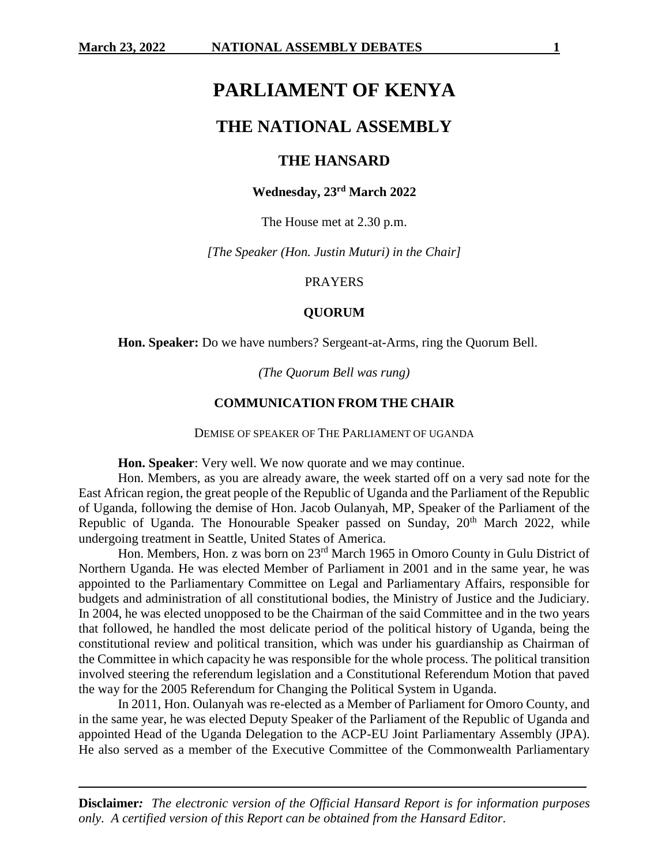# **PARLIAMENT OF KENYA**

# **THE NATIONAL ASSEMBLY**

# **THE HANSARD**

## **Wednesday, 23 rd March 2022**

The House met at 2.30 p.m.

*[The Speaker (Hon. Justin Muturi) in the Chair]*

#### PRAYERS

### **QUORUM**

**Hon. Speaker:** Do we have numbers? Sergeant-at-Arms, ring the Quorum Bell.

*(The Quorum Bell was rung)*

### **COMMUNICATION FROM THE CHAIR**

DEMISE OF SPEAKER OF THE PARLIAMENT OF UGANDA

**Hon. Speaker**: Very well. We now quorate and we may continue.

Hon. Members, as you are already aware, the week started off on a very sad note for the East African region, the great people of the Republic of Uganda and the Parliament of the Republic of Uganda, following the demise of Hon. Jacob Oulanyah, MP, Speaker of the Parliament of the Republic of Uganda. The Honourable Speaker passed on Sunday,  $20<sup>th</sup>$  March 2022, while undergoing treatment in Seattle, United States of America.

Hon. Members, Hon. z was born on 23rd March 1965 in Omoro County in Gulu District of Northern Uganda. He was elected Member of Parliament in 2001 and in the same year, he was appointed to the Parliamentary Committee on Legal and Parliamentary Affairs, responsible for budgets and administration of all constitutional bodies, the Ministry of Justice and the Judiciary. In 2004, he was elected unopposed to be the Chairman of the said Committee and in the two years that followed, he handled the most delicate period of the political history of Uganda, being the constitutional review and political transition, which was under his guardianship as Chairman of the Committee in which capacity he was responsible for the whole process. The political transition involved steering the referendum legislation and a Constitutional Referendum Motion that paved the way for the 2005 Referendum for Changing the Political System in Uganda.

In 2011, Hon. Oulanyah was re-elected as a Member of Parliament for Omoro County, and in the same year, he was elected Deputy Speaker of the Parliament of the Republic of Uganda and appointed Head of the Uganda Delegation to the ACP-EU Joint Parliamentary Assembly (JPA). He also served as a member of the Executive Committee of the Commonwealth Parliamentary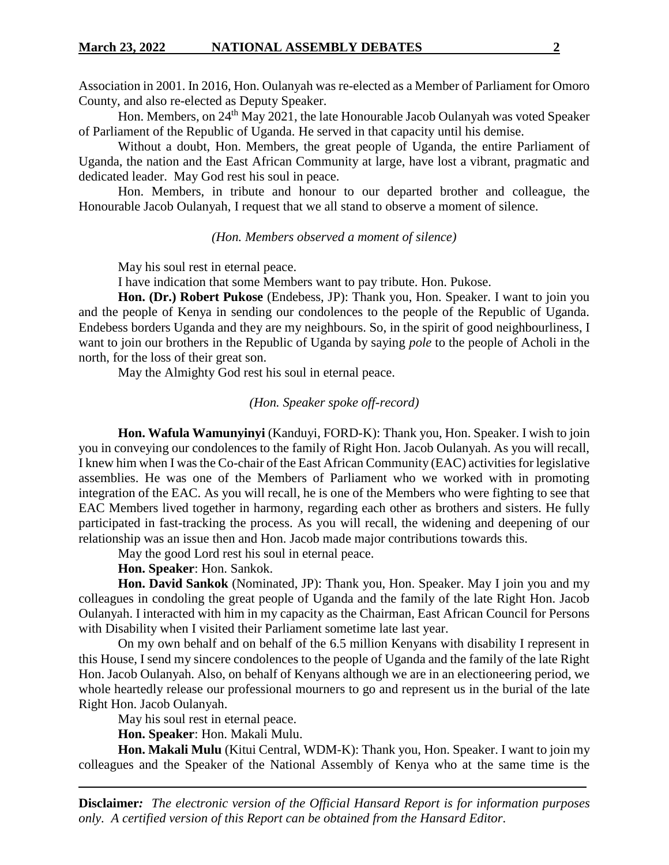Association in 2001. In 2016, Hon. Oulanyah was re-elected as a Member of Parliament for Omoro County, and also re-elected as Deputy Speaker.

Hon. Members, on 24<sup>th</sup> May 2021, the late Honourable Jacob Oulanyah was voted Speaker of [Parliament](https://en.wikipedia.org/wiki/Parliament_of_Uganda) of the Republic of Uganda. He served in that capacity until his demise.

Without a doubt, Hon. Members, the great people of Uganda, the entire Parliament of Uganda, the nation and the East African Community at large, have lost a vibrant, pragmatic and dedicated leader. May God rest his soul in peace.

Hon. Members, in tribute and honour to our departed brother and colleague, the Honourable Jacob Oulanyah, I request that we all stand to observe a moment of silence.

*(Hon. Members observed a moment of silence)*

May his soul rest in eternal peace.

I have indication that some Members want to pay tribute. Hon. Pukose.

**Hon. (Dr.) Robert Pukose** (Endebess, JP): Thank you, Hon. Speaker. I want to join you and the people of Kenya in sending our condolences to the people of the Republic of Uganda. Endebess borders Uganda and they are my neighbours. So, in the spirit of good neighbourliness, I want to join our brothers in the Republic of Uganda by saying *pole* to the people of Acholi in the north, for the loss of their great son.

May the Almighty God rest his soul in eternal peace.

# *(Hon. Speaker spoke off-record)*

**Hon. Wafula Wamunyinyi** (Kanduyi, FORD-K): Thank you, Hon. Speaker. I wish to join you in conveying our condolences to the family of Right Hon. Jacob Oulanyah. As you will recall, I knew him when I was the Co-chair of the East African Community (EAC) activities for legislative assemblies. He was one of the Members of Parliament who we worked with in promoting integration of the EAC. As you will recall, he is one of the Members who were fighting to see that EAC Members lived together in harmony, regarding each other as brothers and sisters. He fully participated in fast-tracking the process. As you will recall, the widening and deepening of our relationship was an issue then and Hon. Jacob made major contributions towards this.

May the good Lord rest his soul in eternal peace.

**Hon. Speaker**: Hon. Sankok.

**Hon. David Sankok** (Nominated, JP): Thank you, Hon. Speaker. May I join you and my colleagues in condoling the great people of Uganda and the family of the late Right Hon. Jacob Oulanyah. I interacted with him in my capacity as the Chairman, East African Council for Persons with Disability when I visited their Parliament sometime late last year.

On my own behalf and on behalf of the 6.5 million Kenyans with disability I represent in this House, I send my sincere condolences to the people of Uganda and the family of the late Right Hon. Jacob Oulanyah. Also, on behalf of Kenyans although we are in an electioneering period, we whole heartedly release our professional mourners to go and represent us in the burial of the late Right Hon. Jacob Oulanyah.

May his soul rest in eternal peace.

**Hon. Speaker**: Hon. Makali Mulu.

**Hon. Makali Mulu** (Kitui Central, WDM-K): Thank you, Hon. Speaker. I want to join my colleagues and the Speaker of the National Assembly of Kenya who at the same time is the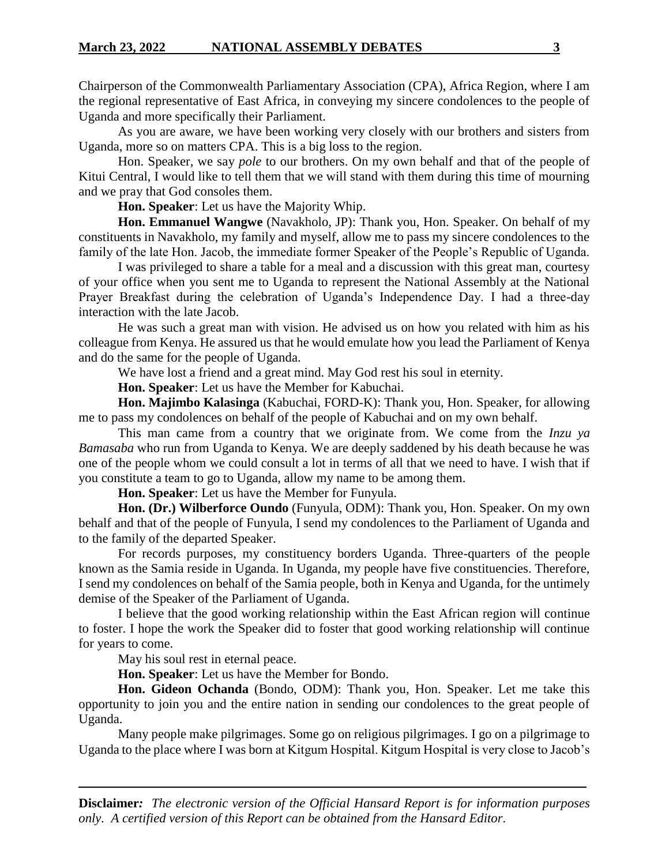Chairperson of the Commonwealth Parliamentary Association (CPA), Africa Region, where I am the regional representative of East Africa, in conveying my sincere condolences to the people of Uganda and more specifically their Parliament.

As you are aware, we have been working very closely with our brothers and sisters from Uganda, more so on matters CPA. This is a big loss to the region.

Hon. Speaker, we say *pole* to our brothers. On my own behalf and that of the people of Kitui Central, I would like to tell them that we will stand with them during this time of mourning and we pray that God consoles them.

**Hon. Speaker**: Let us have the Majority Whip.

**Hon. Emmanuel Wangwe** (Navakholo, JP): Thank you, Hon. Speaker. On behalf of my constituents in Navakholo, my family and myself, allow me to pass my sincere condolences to the family of the late Hon. Jacob, the immediate former Speaker of the People's Republic of Uganda.

I was privileged to share a table for a meal and a discussion with this great man, courtesy of your office when you sent me to Uganda to represent the National Assembly at the National Prayer Breakfast during the celebration of Uganda's Independence Day. I had a three-day interaction with the late Jacob.

He was such a great man with vision. He advised us on how you related with him as his colleague from Kenya. He assured us that he would emulate how you lead the Parliament of Kenya and do the same for the people of Uganda.

We have lost a friend and a great mind. May God rest his soul in eternity.

**Hon. Speaker**: Let us have the Member for Kabuchai.

**Hon. Majimbo Kalasinga** (Kabuchai, FORD-K): Thank you, Hon. Speaker, for allowing me to pass my condolences on behalf of the people of Kabuchai and on my own behalf.

This man came from a country that we originate from. We come from the *Inzu ya Bamasaba* who run from Uganda to Kenya. We are deeply saddened by his death because he was one of the people whom we could consult a lot in terms of all that we need to have. I wish that if you constitute a team to go to Uganda, allow my name to be among them.

**Hon. Speaker**: Let us have the Member for Funyula.

**Hon. (Dr.) Wilberforce Oundo** (Funyula, ODM): Thank you, Hon. Speaker. On my own behalf and that of the people of Funyula, I send my condolences to the Parliament of Uganda and to the family of the departed Speaker.

For records purposes, my constituency borders Uganda. Three-quarters of the people known as the Samia reside in Uganda. In Uganda, my people have five constituencies. Therefore, I send my condolences on behalf of the Samia people, both in Kenya and Uganda, for the untimely demise of the Speaker of the Parliament of Uganda.

I believe that the good working relationship within the East African region will continue to foster. I hope the work the Speaker did to foster that good working relationship will continue for years to come.

May his soul rest in eternal peace.

**Hon. Speaker**: Let us have the Member for Bondo.

**Hon. Gideon Ochanda** (Bondo, ODM): Thank you, Hon. Speaker. Let me take this opportunity to join you and the entire nation in sending our condolences to the great people of Uganda.

Many people make pilgrimages. Some go on religious pilgrimages. I go on a pilgrimage to Uganda to the place where I was born at Kitgum Hospital. Kitgum Hospital is very close to Jacob's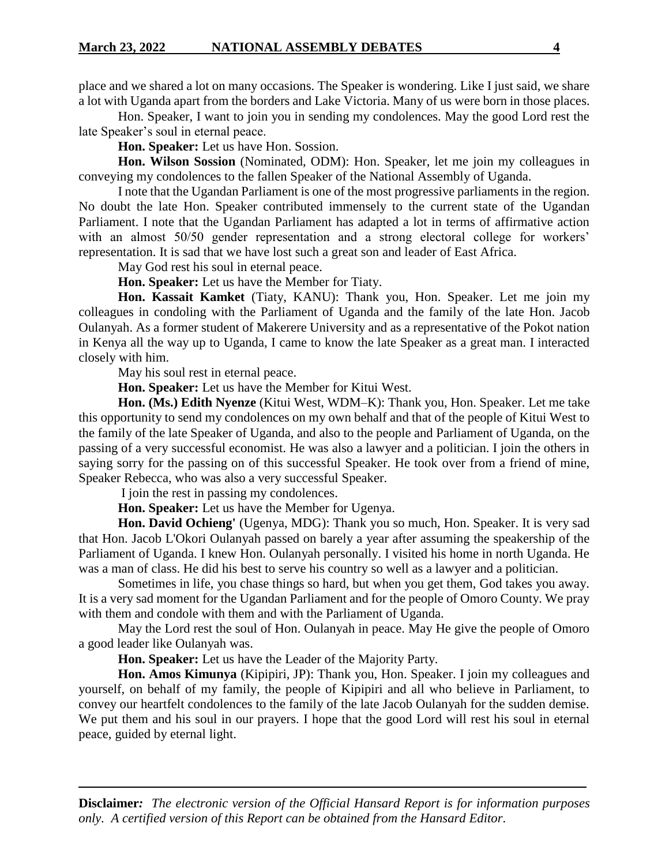place and we shared a lot on many occasions. The Speaker is wondering. Like I just said, we share a lot with Uganda apart from the borders and Lake Victoria. Many of us were born in those places.

Hon. Speaker, I want to join you in sending my condolences. May the good Lord rest the late Speaker's soul in eternal peace.

**Hon. Speaker:** Let us have Hon. Sossion.

**Hon. Wilson Sossion** (Nominated, ODM): Hon. Speaker, let me join my colleagues in conveying my condolences to the fallen Speaker of the National Assembly of Uganda.

I note that the Ugandan Parliament is one of the most progressive parliaments in the region. No doubt the late Hon. Speaker contributed immensely to the current state of the Ugandan Parliament. I note that the Ugandan Parliament has adapted a lot in terms of affirmative action with an almost 50/50 gender representation and a strong electoral college for workers' representation. It is sad that we have lost such a great son and leader of East Africa.

May God rest his soul in eternal peace.

**Hon. Speaker:** Let us have the Member for Tiaty.

**Hon. Kassait Kamket** (Tiaty, KANU): Thank you, Hon. Speaker. Let me join my colleagues in condoling with the Parliament of Uganda and the family of the late Hon. Jacob Oulanyah. As a former student of Makerere University and as a representative of the Pokot nation in Kenya all the way up to Uganda, I came to know the late Speaker as a great man. I interacted closely with him.

May his soul rest in eternal peace.

**Hon. Speaker:** Let us have the Member for Kitui West.

**Hon. (Ms.) Edith Nyenze** (Kitui West, WDM–K): Thank you, Hon. Speaker. Let me take this opportunity to send my condolences on my own behalf and that of the people of Kitui West to the family of the late Speaker of Uganda, and also to the people and Parliament of Uganda, on the passing of a very successful economist. He was also a lawyer and a politician. I join the others in saying sorry for the passing on of this successful Speaker. He took over from a friend of mine, Speaker Rebecca, who was also a very successful Speaker.

I join the rest in passing my condolences.

**Hon. Speaker:** Let us have the Member for Ugenya.

**Hon. David Ochieng'** (Ugenya, MDG): Thank you so much, Hon. Speaker. It is very sad that Hon. Jacob L'Okori Oulanyah passed on barely a year after assuming the speakership of the Parliament of Uganda. I knew Hon. Oulanyah personally. I visited his home in north Uganda. He was a man of class. He did his best to serve his country so well as a lawyer and a politician.

Sometimes in life, you chase things so hard, but when you get them, God takes you away. It is a very sad moment for the Ugandan Parliament and for the people of Omoro County. We pray with them and condole with them and with the Parliament of Uganda.

May the Lord rest the soul of Hon. Oulanyah in peace. May He give the people of Omoro a good leader like Oulanyah was.

**Hon. Speaker:** Let us have the Leader of the Majority Party.

**Hon. Amos Kimunya** (Kipipiri, JP): Thank you, Hon. Speaker. I join my colleagues and yourself, on behalf of my family, the people of Kipipiri and all who believe in Parliament, to convey our heartfelt condolences to the family of the late Jacob Oulanyah for the sudden demise. We put them and his soul in our prayers. I hope that the good Lord will rest his soul in eternal peace, guided by eternal light.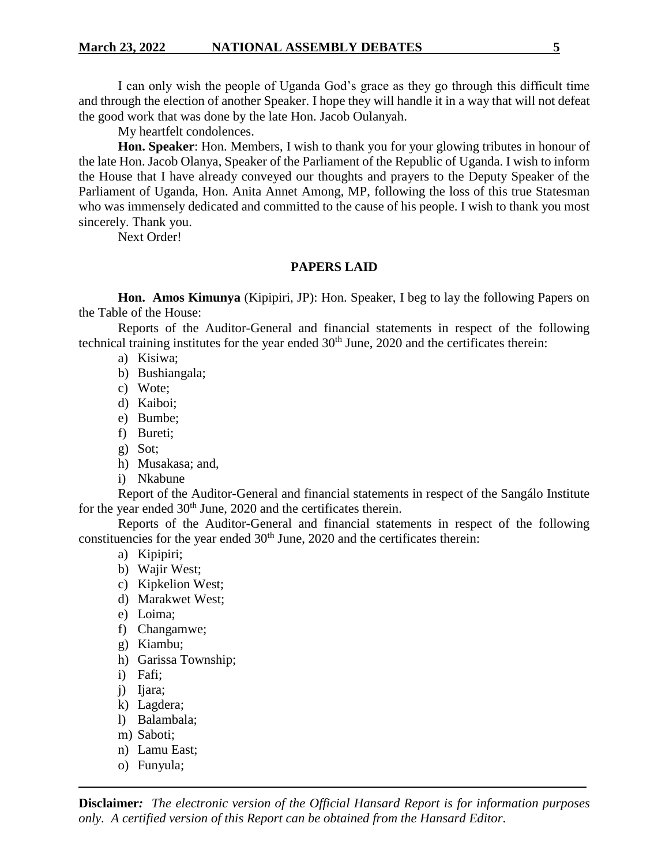I can only wish the people of Uganda God's grace as they go through this difficult time and through the election of another Speaker. I hope they will handle it in a way that will not defeat the good work that was done by the late Hon. Jacob Oulanyah.

My heartfelt condolences.

**Hon. Speaker**: Hon. Members, I wish to thank you for your glowing tributes in honour of the late Hon. Jacob Olanya, Speaker of the Parliament of the Republic of Uganda. I wish to inform the House that I have already conveyed our thoughts and prayers to the Deputy Speaker of the Parliament of Uganda, Hon. Anita Annet Among, MP, following the loss of this true Statesman who was immensely dedicated and committed to the cause of his people. I wish to thank you most sincerely. Thank you.

Next Order!

### **PAPERS LAID**

**Hon. Amos Kimunya** (Kipipiri, JP): Hon. Speaker, I beg to lay the following Papers on the Table of the House:

Reports of the Auditor-General and financial statements in respect of the following technical training institutes for the year ended 30<sup>th</sup> June, 2020 and the certificates therein:

- a) Kisiwa;
- b) Bushiangala;
- c) Wote;
- d) Kaiboi;
- e) Bumbe;
- f) Bureti;
- g) Sot;
- h) Musakasa; and,
- i) Nkabune

Report of the Auditor-General and financial statements in respect of the Sangálo Institute for the year ended  $30<sup>th</sup>$  June, 2020 and the certificates therein.

Reports of the Auditor-General and financial statements in respect of the following constituencies for the year ended  $30<sup>th</sup>$  June, 2020 and the certificates therein:

- a) Kipipiri;
- b) Wajir West;
- c) Kipkelion West;
- d) Marakwet West;
- e) Loima;
- f) Changamwe;
- g) Kiambu;
- h) Garissa Township;
- i) Fafi;
- j) Ijara;
- k) Lagdera;
- l) Balambala;
- m) Saboti;
- n) Lamu East;
- o) Funyula;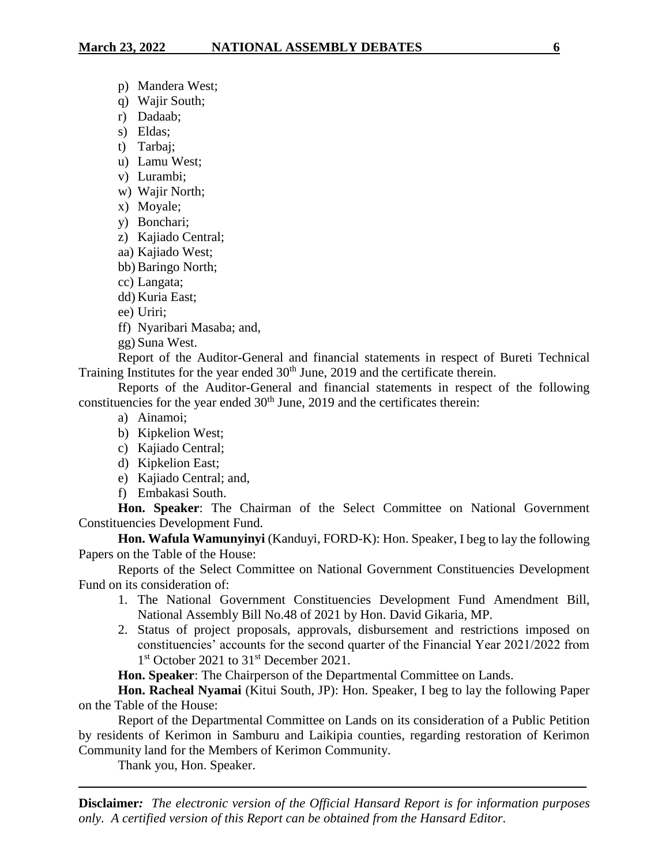- p) Mandera West;
- q) Wajir South;
- r) Dadaab;
- s) Eldas;
- t) Tarbaj;
- u) Lamu West;
- v) Lurambi;
- w) Wajir North;
- x) Moyale;
- y) Bonchari;
- z) Kajiado Central;
- aa) Kajiado West;
- bb) Baringo North;
- cc) Langata;
- dd) Kuria East;
- ee) Uriri;
- ff) Nyaribari Masaba; and,
- gg) Suna West.

Report of the Auditor-General and financial statements in respect of Bureti Technical Training Institutes for the year ended  $30<sup>th</sup>$  June, 2019 and the certificate therein.

Reports of the Auditor-General and financial statements in respect of the following constituencies for the year ended  $30<sup>th</sup>$  June, 2019 and the certificates therein:

- a) Ainamoi;
- b) Kipkelion West;
- c) Kajiado Central;
- d) Kipkelion East;
- e) Kajiado Central; and,
- f) Embakasi South.

**Hon. Speaker**: The Chairman of the Select Committee on National Government Constituencies Development Fund.

**Hon. Wafula Wamunyinyi** (Kanduyi, FORD-K): Hon. Speaker, I beg to lay the following Papers on the Table of the House:

Reports of the Select Committee on National Government Constituencies Development Fund on its consideration of:

- 1. The National Government Constituencies Development Fund Amendment Bill, National Assembly Bill No.48 of 2021 by Hon. David Gikaria, MP.
- 2. Status of project proposals, approvals, disbursement and restrictions imposed on constituencies' accounts for the second quarter of the Financial Year 2021/2022 from 1<sup>st</sup> October 2021 to 31<sup>st</sup> December 2021.

**Hon. Speaker**: The Chairperson of the Departmental Committee on Lands.

**Hon. Racheal Nyamai** (Kitui South, JP): Hon. Speaker, I beg to lay the following Paper on the Table of the House:

Report of the Departmental Committee on Lands on its consideration of a Public Petition by residents of Kerimon in Samburu and Laikipia counties, regarding restoration of Kerimon Community land for the Members of Kerimon Community.

Thank you, Hon. Speaker.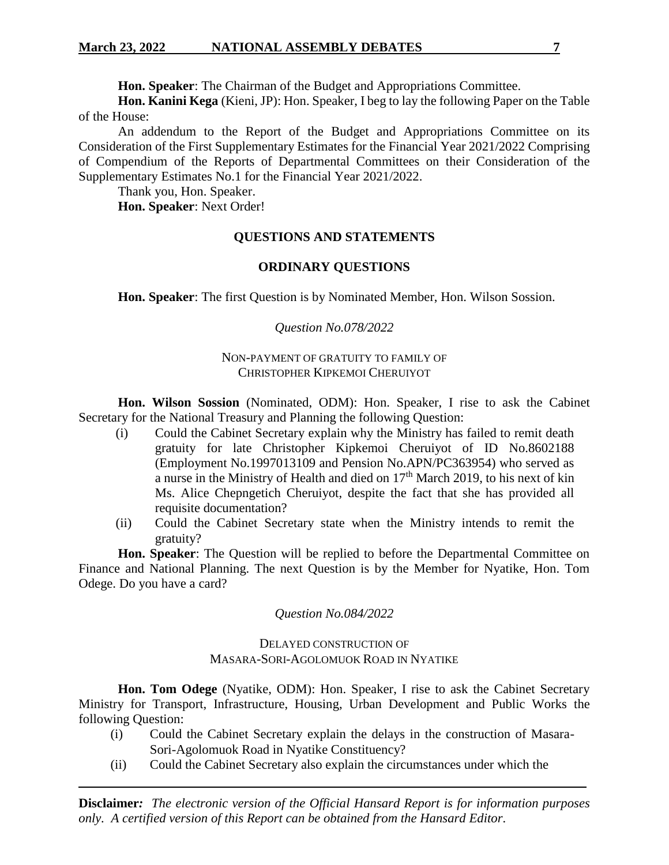**Hon. Speaker**: The Chairman of the Budget and Appropriations Committee.

**Hon. Kanini Kega** (Kieni, JP): Hon. Speaker, I beg to lay the following Paper on the Table of the House:

An addendum to the Report of the Budget and Appropriations Committee on its Consideration of the First Supplementary Estimates for the Financial Year 2021/2022 Comprising of Compendium of the Reports of Departmental Committees on their Consideration of the Supplementary Estimates No.1 for the Financial Year 2021/2022.

Thank you, Hon. Speaker.

**Hon. Speaker**: Next Order!

# **QUESTIONS AND STATEMENTS**

### **ORDINARY QUESTIONS**

**Hon. Speaker**: The first Question is by Nominated Member, Hon. Wilson Sossion.

# *Question No.078/2022*

### NON-PAYMENT OF GRATUITY TO FAMILY OF CHRISTOPHER KIPKEMOI CHERUIYOT

**Hon. Wilson Sossion** (Nominated, ODM): Hon. Speaker, I rise to ask the Cabinet Secretary for the National Treasury and Planning the following Question:

- (i) Could the Cabinet Secretary explain why the Ministry has failed to remit death gratuity for late Christopher Kipkemoi Cheruiyot of ID No.8602188 (Employment No.1997013109 and Pension No.APN/PC363954) who served as a nurse in the Ministry of Health and died on  $17<sup>th</sup>$  March 2019, to his next of kin Ms. Alice Chepngetich Cheruiyot, despite the fact that she has provided all requisite documentation?
- (ii) Could the Cabinet Secretary state when the Ministry intends to remit the gratuity?

**Hon. Speaker**: The Question will be replied to before the Departmental Committee on Finance and National Planning. The next Question is by the Member for Nyatike, Hon. Tom Odege. Do you have a card?

*Question No.084/2022*

# DELAYED CONSTRUCTION OF MASARA-SORI-AGOLOMUOK ROAD IN NYATIKE

**Hon. Tom Odege** (Nyatike, ODM): Hon. Speaker, I rise to ask the Cabinet Secretary Ministry for Transport, Infrastructure, Housing, Urban Development and Public Works the following Question:

- (i) Could the Cabinet Secretary explain the delays in the construction of Masara-Sori-Agolomuok Road in Nyatike Constituency?
- (ii) Could the Cabinet Secretary also explain the circumstances under which the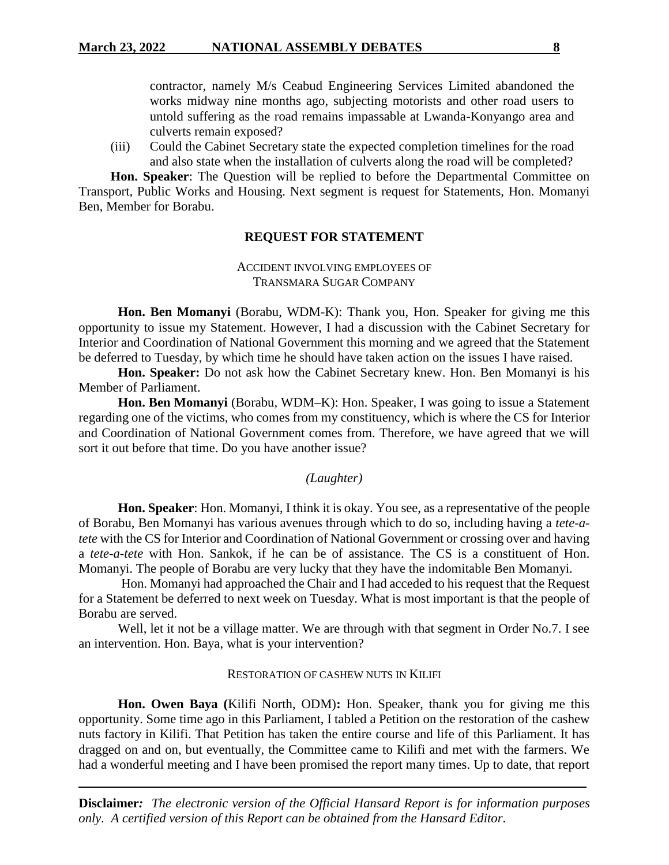contractor, namely M/s Ceabud Engineering Services Limited abandoned the works midway nine months ago, subjecting motorists and other road users to untold suffering as the road remains impassable at Lwanda-Konyango area and culverts remain exposed?

(iii) Could the Cabinet Secretary state the expected completion timelines for the road and also state when the installation of culverts along the road will be completed?

**Hon. Speaker**: The Question will be replied to before the Departmental Committee on Transport, Public Works and Housing. Next segment is request for Statements, Hon. Momanyi Ben, Member for Borabu.

### **REQUEST FOR STATEMENT**

### ACCIDENT INVOLVING EMPLOYEES OF TRANSMARA SUGAR COMPANY

**Hon. Ben Momanyi** (Borabu, WDM-K): Thank you, Hon. Speaker for giving me this opportunity to issue my Statement. However, I had a discussion with the Cabinet Secretary for Interior and Coordination of National Government this morning and we agreed that the Statement be deferred to Tuesday, by which time he should have taken action on the issues I have raised.

**Hon. Speaker:** Do not ask how the Cabinet Secretary knew. Hon. Ben Momanyi is his Member of Parliament.

**Hon. Ben Momanyi** (Borabu, WDM–K): Hon. Speaker, I was going to issue a Statement regarding one of the victims, who comes from my constituency, which is where the CS for Interior and Coordination of National Government comes from. Therefore, we have agreed that we will sort it out before that time. Do you have another issue?

#### *(Laughter)*

**Hon. Speaker**: Hon. Momanyi, I think it is okay. You see, as a representative of the people of Borabu, Ben Momanyi has various avenues through which to do so, including having a *tete-atete* with the CS for Interior and Coordination of National Government or crossing over and having a *tete-a-tete* with Hon. Sankok, if he can be of assistance. The CS is a constituent of Hon. Momanyi. The people of Borabu are very lucky that they have the indomitable Ben Momanyi.

Hon. Momanyi had approached the Chair and I had acceded to his request that the Request for a Statement be deferred to next week on Tuesday. What is most important is that the people of Borabu are served.

Well, let it not be a village matter. We are through with that segment in Order No.7. I see an intervention. Hon. Baya, what is your intervention?

#### RESTORATION OF CASHEW NUTS IN KILIFI

**Hon. Owen Baya (**Kilifi North, ODM)**:** Hon. Speaker, thank you for giving me this opportunity. Some time ago in this Parliament, I tabled a Petition on the restoration of the cashew nuts factory in Kilifi. That Petition has taken the entire course and life of this Parliament. It has dragged on and on, but eventually, the Committee came to Kilifi and met with the farmers. We had a wonderful meeting and I have been promised the report many times. Up to date, that report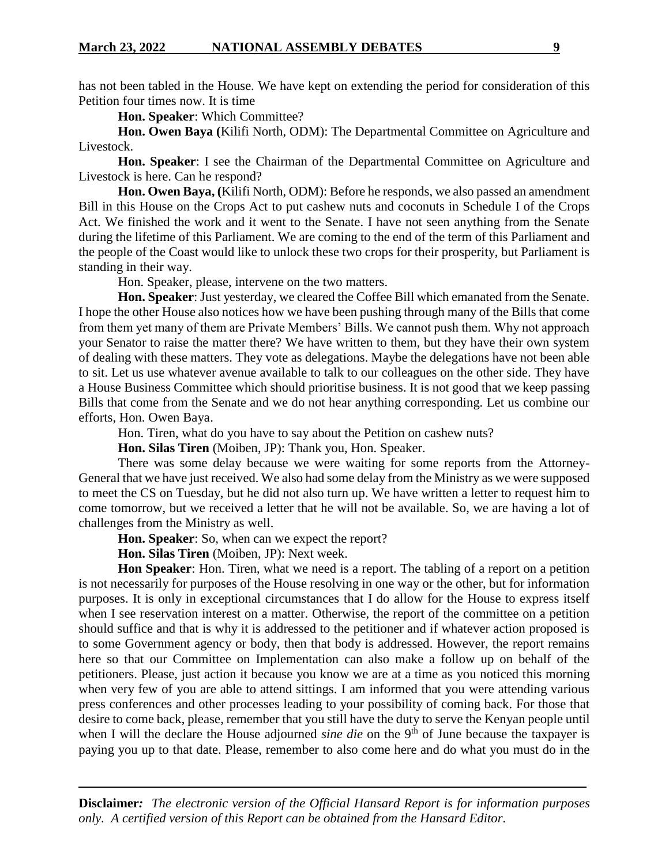has not been tabled in the House. We have kept on extending the period for consideration of this Petition four times now. It is time

**Hon. Speaker**: Which Committee?

**Hon. Owen Baya (**Kilifi North, ODM): The Departmental Committee on Agriculture and Livestock.

**Hon. Speaker**: I see the Chairman of the Departmental Committee on Agriculture and Livestock is here. Can he respond?

**Hon. Owen Baya, (**Kilifi North, ODM): Before he responds, we also passed an amendment Bill in this House on the Crops Act to put cashew nuts and coconuts in Schedule I of the Crops Act. We finished the work and it went to the Senate. I have not seen anything from the Senate during the lifetime of this Parliament. We are coming to the end of the term of this Parliament and the people of the Coast would like to unlock these two crops for their prosperity, but Parliament is standing in their way.

Hon. Speaker, please, intervene on the two matters.

**Hon. Speaker**: Just yesterday, we cleared the Coffee Bill which emanated from the Senate. I hope the other House also notices how we have been pushing through many of the Bills that come from them yet many of them are Private Members' Bills. We cannot push them. Why not approach your Senator to raise the matter there? We have written to them, but they have their own system of dealing with these matters. They vote as delegations. Maybe the delegations have not been able to sit. Let us use whatever avenue available to talk to our colleagues on the other side. They have a House Business Committee which should prioritise business. It is not good that we keep passing Bills that come from the Senate and we do not hear anything corresponding. Let us combine our efforts, Hon. Owen Baya.

Hon. Tiren, what do you have to say about the Petition on cashew nuts?

**Hon. Silas Tiren** (Moiben, JP): Thank you, Hon. Speaker.

There was some delay because we were waiting for some reports from the Attorney-General that we have just received. We also had some delay from the Ministry as we were supposed to meet the CS on Tuesday, but he did not also turn up. We have written a letter to request him to come tomorrow, but we received a letter that he will not be available. So, we are having a lot of challenges from the Ministry as well.

**Hon. Speaker**: So, when can we expect the report?

**Hon. Silas Tiren** (Moiben, JP): Next week.

**Hon Speaker**: Hon. Tiren, what we need is a report. The tabling of a report on a petition is not necessarily for purposes of the House resolving in one way or the other, but for information purposes. It is only in exceptional circumstances that I do allow for the House to express itself when I see reservation interest on a matter. Otherwise, the report of the committee on a petition should suffice and that is why it is addressed to the petitioner and if whatever action proposed is to some Government agency or body, then that body is addressed. However, the report remains here so that our Committee on Implementation can also make a follow up on behalf of the petitioners. Please, just action it because you know we are at a time as you noticed this morning when very few of you are able to attend sittings. I am informed that you were attending various press conferences and other processes leading to your possibility of coming back. For those that desire to come back, please, remember that you still have the duty to serve the Kenyan people until when I will the declare the House adjourned *sine die* on the 9<sup>th</sup> of June because the taxpayer is paying you up to that date. Please, remember to also come here and do what you must do in the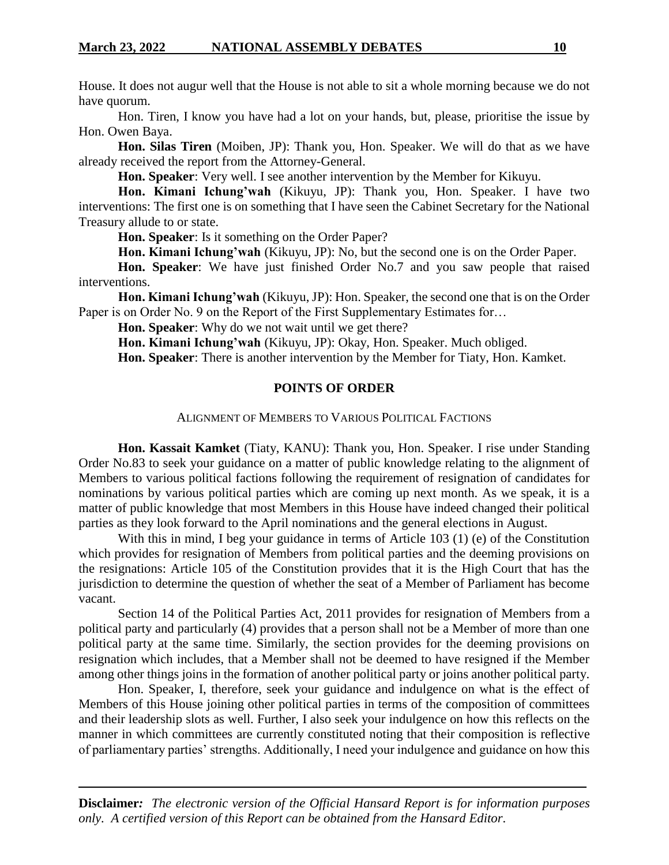House. It does not augur well that the House is not able to sit a whole morning because we do not have quorum.

Hon. Tiren, I know you have had a lot on your hands, but, please, prioritise the issue by Hon. Owen Baya.

**Hon. Silas Tiren** (Moiben, JP): Thank you, Hon. Speaker. We will do that as we have already received the report from the Attorney-General.

**Hon. Speaker**: Very well. I see another intervention by the Member for Kikuyu.

**Hon. Kimani Ichung'wah** (Kikuyu, JP): Thank you, Hon. Speaker. I have two interventions: The first one is on something that I have seen the Cabinet Secretary for the National Treasury allude to or state.

**Hon. Speaker**: Is it something on the Order Paper?

**Hon. Kimani Ichung'wah** (Kikuyu, JP): No, but the second one is on the Order Paper.

**Hon. Speaker**: We have just finished Order No.7 and you saw people that raised interventions.

**Hon. Kimani Ichung'wah** (Kikuyu, JP): Hon. Speaker, the second one that is on the Order Paper is on Order No. 9 on the Report of the First Supplementary Estimates for...

**Hon. Speaker**: Why do we not wait until we get there?

**Hon. Kimani Ichung'wah** (Kikuyu, JP): Okay, Hon. Speaker. Much obliged.

**Hon. Speaker**: There is another intervention by the Member for Tiaty, Hon. Kamket.

#### **POINTS OF ORDER**

#### ALIGNMENT OF MEMBERS TO VARIOUS POLITICAL FACTIONS

**Hon. Kassait Kamket** (Tiaty, KANU): Thank you, Hon. Speaker. I rise under Standing Order No.83 to seek your guidance on a matter of public knowledge relating to the alignment of Members to various political factions following the requirement of resignation of candidates for nominations by various political parties which are coming up next month. As we speak, it is a matter of public knowledge that most Members in this House have indeed changed their political parties as they look forward to the April nominations and the general elections in August.

With this in mind, I beg your guidance in terms of Article 103 (1) (e) of the Constitution which provides for resignation of Members from political parties and the deeming provisions on the resignations: Article 105 of the Constitution provides that it is the High Court that has the jurisdiction to determine the question of whether the seat of a Member of Parliament has become vacant.

Section 14 of the Political Parties Act, 2011 provides for resignation of Members from a political party and particularly (4) provides that a person shall not be a Member of more than one political party at the same time. Similarly, the section provides for the deeming provisions on resignation which includes, that a Member shall not be deemed to have resigned if the Member among other things joins in the formation of another political party or joins another political party.

Hon. Speaker, I, therefore, seek your guidance and indulgence on what is the effect of Members of this House joining other political parties in terms of the composition of committees and their leadership slots as well. Further, I also seek your indulgence on how this reflects on the manner in which committees are currently constituted noting that their composition is reflective of parliamentary parties' strengths. Additionally, I need your indulgence and guidance on how this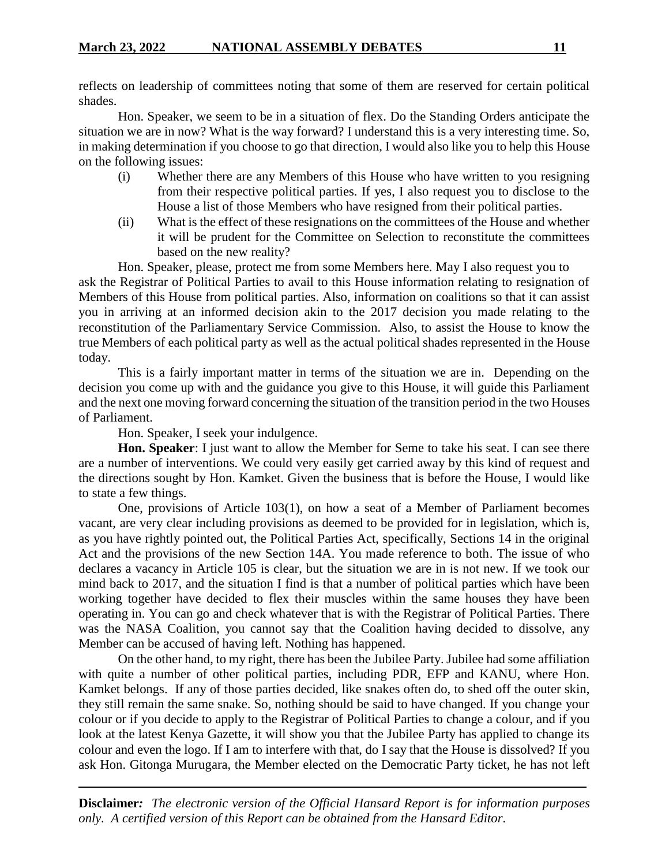reflects on leadership of committees noting that some of them are reserved for certain political shades.

Hon. Speaker, we seem to be in a situation of flex. Do the Standing Orders anticipate the situation we are in now? What is the way forward? I understand this is a very interesting time. So, in making determination if you choose to go that direction, I would also like you to help this House on the following issues:

- (i) Whether there are any Members of this House who have written to you resigning from their respective political parties. If yes, I also request you to disclose to the House a list of those Members who have resigned from their political parties.
- (ii) What is the effect of these resignations on the committees of the House and whether it will be prudent for the Committee on Selection to reconstitute the committees based on the new reality?

Hon. Speaker, please, protect me from some Members here. May I also request you to ask the Registrar of Political Parties to avail to this House information relating to resignation of Members of this House from political parties. Also, information on coalitions so that it can assist you in arriving at an informed decision akin to the 2017 decision you made relating to the reconstitution of the Parliamentary Service Commission. Also, to assist the House to know the true Members of each political party as well as the actual political shades represented in the House today.

This is a fairly important matter in terms of the situation we are in. Depending on the decision you come up with and the guidance you give to this House, it will guide this Parliament and the next one moving forward concerning the situation of the transition period in the two Houses of Parliament.

Hon. Speaker, I seek your indulgence.

**Hon. Speaker**: I just want to allow the Member for Seme to take his seat. I can see there are a number of interventions. We could very easily get carried away by this kind of request and the directions sought by Hon. Kamket. Given the business that is before the House, I would like to state a few things.

One, provisions of Article 103(1), on how a seat of a Member of Parliament becomes vacant, are very clear including provisions as deemed to be provided for in legislation, which is, as you have rightly pointed out, the Political Parties Act, specifically, Sections 14 in the original Act and the provisions of the new Section 14A. You made reference to both. The issue of who declares a vacancy in Article 105 is clear, but the situation we are in is not new. If we took our mind back to 2017, and the situation I find is that a number of political parties which have been working together have decided to flex their muscles within the same houses they have been operating in. You can go and check whatever that is with the Registrar of Political Parties. There was the NASA Coalition, you cannot say that the Coalition having decided to dissolve, any Member can be accused of having left. Nothing has happened.

On the other hand, to my right, there has been the Jubilee Party. Jubilee had some affiliation with quite a number of other political parties, including PDR, EFP and KANU, where Hon. Kamket belongs. If any of those parties decided, like snakes often do, to shed off the outer skin, they still remain the same snake. So, nothing should be said to have changed. If you change your colour or if you decide to apply to the Registrar of Political Parties to change a colour, and if you look at the latest Kenya Gazette, it will show you that the Jubilee Party has applied to change its colour and even the logo. If I am to interfere with that, do I say that the House is dissolved? If you ask Hon. Gitonga Murugara, the Member elected on the Democratic Party ticket, he has not left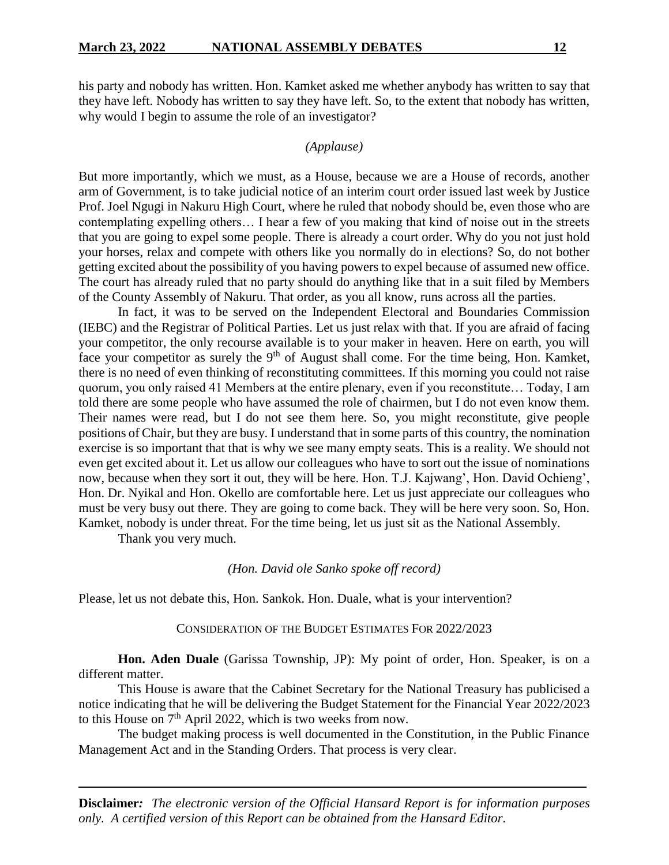his party and nobody has written. Hon. Kamket asked me whether anybody has written to say that they have left. Nobody has written to say they have left. So, to the extent that nobody has written, why would I begin to assume the role of an investigator?

#### *(Applause)*

But more importantly, which we must, as a House, because we are a House of records, another arm of Government, is to take judicial notice of an interim court order issued last week by Justice Prof. Joel Ngugi in Nakuru High Court, where he ruled that nobody should be, even those who are contemplating expelling others… I hear a few of you making that kind of noise out in the streets that you are going to expel some people. There is already a court order. Why do you not just hold your horses, relax and compete with others like you normally do in elections? So, do not bother getting excited about the possibility of you having powers to expel because of assumed new office. The court has already ruled that no party should do anything like that in a suit filed by Members of the County Assembly of Nakuru. That order, as you all know, runs across all the parties.

In fact, it was to be served on the Independent Electoral and Boundaries Commission (IEBC) and the Registrar of Political Parties. Let us just relax with that. If you are afraid of facing your competitor, the only recourse available is to your maker in heaven. Here on earth, you will face your competitor as surely the  $9<sup>th</sup>$  of August shall come. For the time being, Hon. Kamket, there is no need of even thinking of reconstituting committees. If this morning you could not raise quorum, you only raised 41 Members at the entire plenary, even if you reconstitute… Today, I am told there are some people who have assumed the role of chairmen, but I do not even know them. Their names were read, but I do not see them here. So, you might reconstitute, give people positions of Chair, but they are busy. I understand that in some parts of this country, the nomination exercise is so important that that is why we see many empty seats. This is a reality. We should not even get excited about it. Let us allow our colleagues who have to sort out the issue of nominations now, because when they sort it out, they will be here. Hon. T.J. Kajwang', Hon. David Ochieng', Hon. Dr. Nyikal and Hon. Okello are comfortable here. Let us just appreciate our colleagues who must be very busy out there. They are going to come back. They will be here very soon. So, Hon. Kamket, nobody is under threat. For the time being, let us just sit as the National Assembly.

Thank you very much.

#### *(Hon. David ole Sanko spoke off record)*

Please, let us not debate this, Hon. Sankok. Hon. Duale, what is your intervention?

#### CONSIDERATION OF THE BUDGET ESTIMATES FOR 2022/2023

**Hon. Aden Duale** (Garissa Township, JP): My point of order, Hon. Speaker, is on a different matter.

This House is aware that the Cabinet Secretary for the National Treasury has publicised a notice indicating that he will be delivering the Budget Statement for the Financial Year 2022/2023 to this House on  $7<sup>th</sup>$  April 2022, which is two weeks from now.

The budget making process is well documented in the Constitution, in the Public Finance Management Act and in the Standing Orders. That process is very clear.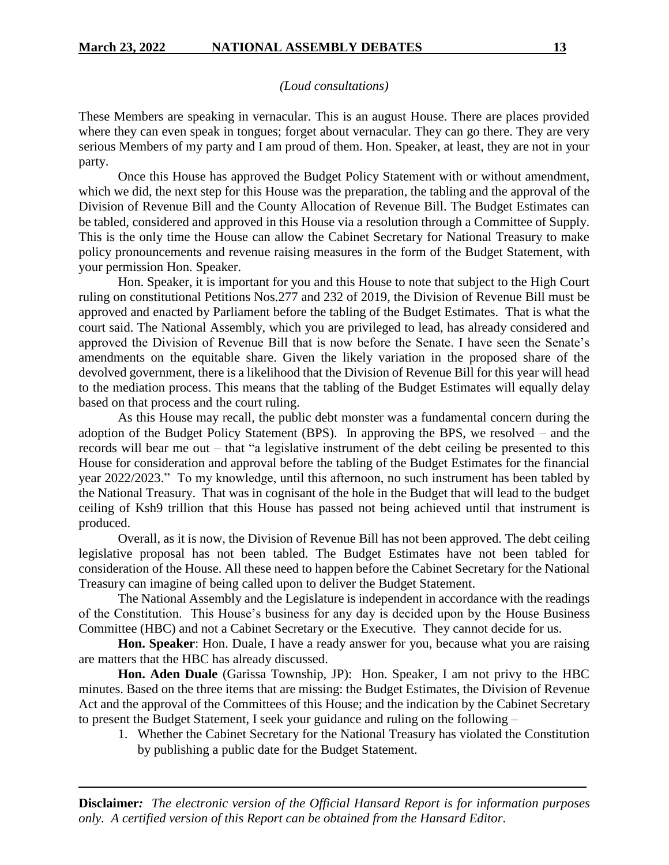#### *(Loud consultations)*

These Members are speaking in vernacular. This is an august House. There are places provided where they can even speak in tongues; forget about vernacular. They can go there. They are very serious Members of my party and I am proud of them. Hon. Speaker, at least, they are not in your party.

Once this House has approved the Budget Policy Statement with or without amendment, which we did, the next step for this House was the preparation, the tabling and the approval of the Division of Revenue Bill and the County Allocation of Revenue Bill. The Budget Estimates can be tabled, considered and approved in this House via a resolution through a Committee of Supply. This is the only time the House can allow the Cabinet Secretary for National Treasury to make policy pronouncements and revenue raising measures in the form of the Budget Statement, with your permission Hon. Speaker.

Hon. Speaker, it is important for you and this House to note that subject to the High Court ruling on constitutional Petitions Nos.277 and 232 of 2019, the Division of Revenue Bill must be approved and enacted by Parliament before the tabling of the Budget Estimates. That is what the court said. The National Assembly, which you are privileged to lead, has already considered and approved the Division of Revenue Bill that is now before the Senate. I have seen the Senate's amendments on the equitable share. Given the likely variation in the proposed share of the devolved government, there is a likelihood that the Division of Revenue Bill for this year will head to the mediation process. This means that the tabling of the Budget Estimates will equally delay based on that process and the court ruling.

As this House may recall, the public debt monster was a fundamental concern during the adoption of the Budget Policy Statement (BPS). In approving the BPS, we resolved – and the records will bear me out – that "a legislative instrument of the debt ceiling be presented to this House for consideration and approval before the tabling of the Budget Estimates for the financial year 2022/2023." To my knowledge, until this afternoon, no such instrument has been tabled by the National Treasury. That was in cognisant of the hole in the Budget that will lead to the budget ceiling of Ksh9 trillion that this House has passed not being achieved until that instrument is produced.

Overall, as it is now, the Division of Revenue Bill has not been approved. The debt ceiling legislative proposal has not been tabled. The Budget Estimates have not been tabled for consideration of the House. All these need to happen before the Cabinet Secretary for the National Treasury can imagine of being called upon to deliver the Budget Statement.

The National Assembly and the Legislature is independent in accordance with the readings of the Constitution. This House's business for any day is decided upon by the House Business Committee (HBC) and not a Cabinet Secretary or the Executive. They cannot decide for us.

**Hon. Speaker**: Hon. Duale, I have a ready answer for you, because what you are raising are matters that the HBC has already discussed.

**Hon. Aden Duale** (Garissa Township, JP): Hon. Speaker, I am not privy to the HBC minutes. Based on the three items that are missing: the Budget Estimates, the Division of Revenue Act and the approval of the Committees of this House; and the indication by the Cabinet Secretary to present the Budget Statement, I seek your guidance and ruling on the following –

1. Whether the Cabinet Secretary for the National Treasury has violated the Constitution by publishing a public date for the Budget Statement.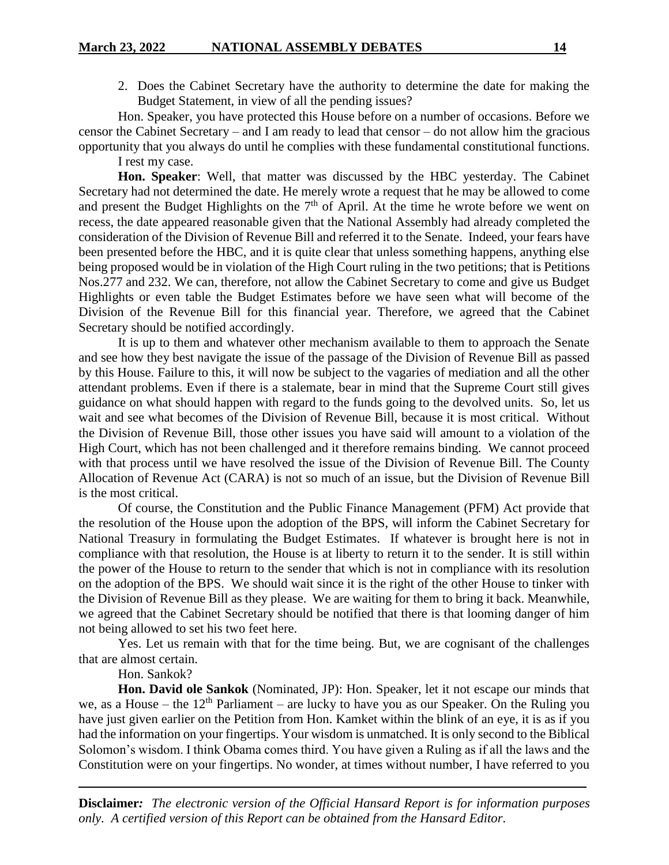2. Does the Cabinet Secretary have the authority to determine the date for making the Budget Statement, in view of all the pending issues?

Hon. Speaker, you have protected this House before on a number of occasions. Before we censor the Cabinet Secretary – and I am ready to lead that censor – do not allow him the gracious opportunity that you always do until he complies with these fundamental constitutional functions.

I rest my case.

**Hon. Speaker**: Well, that matter was discussed by the HBC yesterday. The Cabinet Secretary had not determined the date. He merely wrote a request that he may be allowed to come and present the Budget Highlights on the  $7<sup>th</sup>$  of April. At the time he wrote before we went on recess, the date appeared reasonable given that the National Assembly had already completed the consideration of the Division of Revenue Bill and referred it to the Senate. Indeed, your fears have been presented before the HBC, and it is quite clear that unless something happens, anything else being proposed would be in violation of the High Court ruling in the two petitions; that is Petitions Nos.277 and 232. We can, therefore, not allow the Cabinet Secretary to come and give us Budget Highlights or even table the Budget Estimates before we have seen what will become of the Division of the Revenue Bill for this financial year. Therefore, we agreed that the Cabinet Secretary should be notified accordingly.

It is up to them and whatever other mechanism available to them to approach the Senate and see how they best navigate the issue of the passage of the Division of Revenue Bill as passed by this House. Failure to this, it will now be subject to the vagaries of mediation and all the other attendant problems. Even if there is a stalemate, bear in mind that the Supreme Court still gives guidance on what should happen with regard to the funds going to the devolved units. So, let us wait and see what becomes of the Division of Revenue Bill, because it is most critical. Without the Division of Revenue Bill, those other issues you have said will amount to a violation of the High Court, which has not been challenged and it therefore remains binding. We cannot proceed with that process until we have resolved the issue of the Division of Revenue Bill. The County Allocation of Revenue Act (CARA) is not so much of an issue, but the Division of Revenue Bill is the most critical.

Of course, the Constitution and the Public Finance Management (PFM) Act provide that the resolution of the House upon the adoption of the BPS, will inform the Cabinet Secretary for National Treasury in formulating the Budget Estimates. If whatever is brought here is not in compliance with that resolution, the House is at liberty to return it to the sender. It is still within the power of the House to return to the sender that which is not in compliance with its resolution on the adoption of the BPS. We should wait since it is the right of the other House to tinker with the Division of Revenue Bill as they please. We are waiting for them to bring it back. Meanwhile, we agreed that the Cabinet Secretary should be notified that there is that looming danger of him not being allowed to set his two feet here.

Yes. Let us remain with that for the time being. But, we are cognisant of the challenges that are almost certain.

Hon. Sankok?

**Hon. David ole Sankok** (Nominated, JP): Hon. Speaker, let it not escape our minds that we, as a House – the  $12<sup>th</sup>$  Parliament – are lucky to have you as our Speaker. On the Ruling you have just given earlier on the Petition from Hon. Kamket within the blink of an eye, it is as if you had the information on your fingertips. Your wisdom is unmatched. It is only second to the Biblical Solomon's wisdom. I think Obama comes third. You have given a Ruling as if all the laws and the Constitution were on your fingertips. No wonder, at times without number, I have referred to you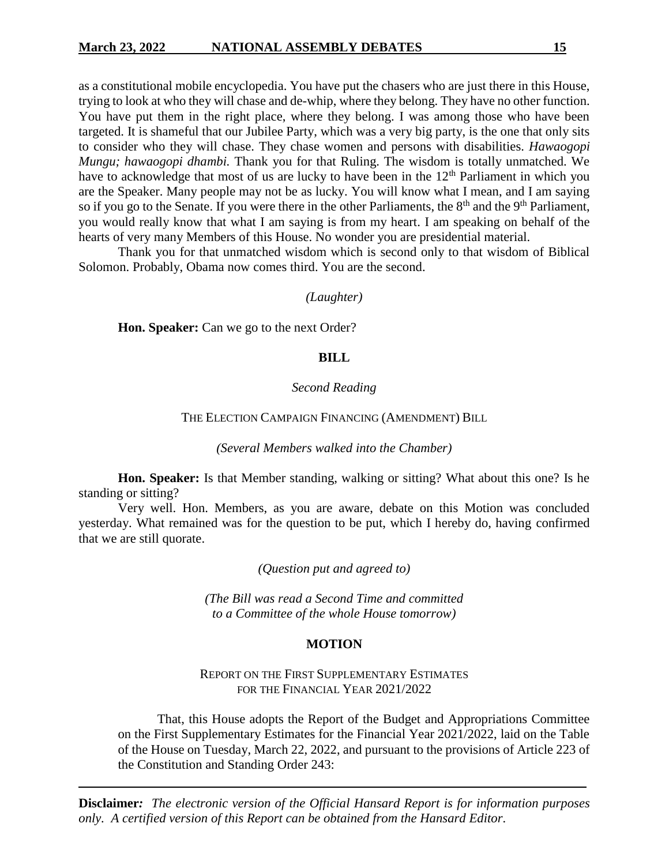as a constitutional mobile encyclopedia. You have put the chasers who are just there in this House, trying to look at who they will chase and de-whip, where they belong. They have no other function. You have put them in the right place, where they belong. I was among those who have been targeted. It is shameful that our Jubilee Party, which was a very big party, is the one that only sits to consider who they will chase. They chase women and persons with disabilities. *Hawaogopi Mungu; hawaogopi dhambi.* Thank you for that Ruling. The wisdom is totally unmatched. We have to acknowledge that most of us are lucky to have been in the 12<sup>th</sup> Parliament in which you are the Speaker. Many people may not be as lucky. You will know what I mean, and I am saying so if you go to the Senate. If you were there in the other Parliaments, the  $8<sup>th</sup>$  and the  $9<sup>th</sup>$  Parliament, you would really know that what I am saying is from my heart. I am speaking on behalf of the hearts of very many Members of this House. No wonder you are presidential material.

Thank you for that unmatched wisdom which is second only to that wisdom of Biblical Solomon. Probably, Obama now comes third. You are the second.

#### *(Laughter)*

**Hon. Speaker:** Can we go to the next Order?

### **BILL**

#### *Second Reading*

#### THE ELECTION CAMPAIGN FINANCING (AMENDMENT) BILL

#### *(Several Members walked into the Chamber)*

**Hon. Speaker:** Is that Member standing, walking or sitting? What about this one? Is he standing or sitting?

Very well. Hon. Members, as you are aware, debate on this Motion was concluded yesterday. What remained was for the question to be put, which I hereby do, having confirmed that we are still quorate.

*(Question put and agreed to)*

*(The Bill was read a Second Time and committed to a Committee of the whole House tomorrow)*

#### **MOTION**

### REPORT ON THE FIRST SUPPLEMENTARY ESTIMATES FOR THE FINANCIAL YEAR 2021/2022

That, this House adopts the Report of the Budget and Appropriations Committee on the First Supplementary Estimates for the Financial Year 2021/2022, laid on the Table of the House on Tuesday, March 22, 2022, and pursuant to the provisions of Article 223 of the Constitution and Standing Order 243: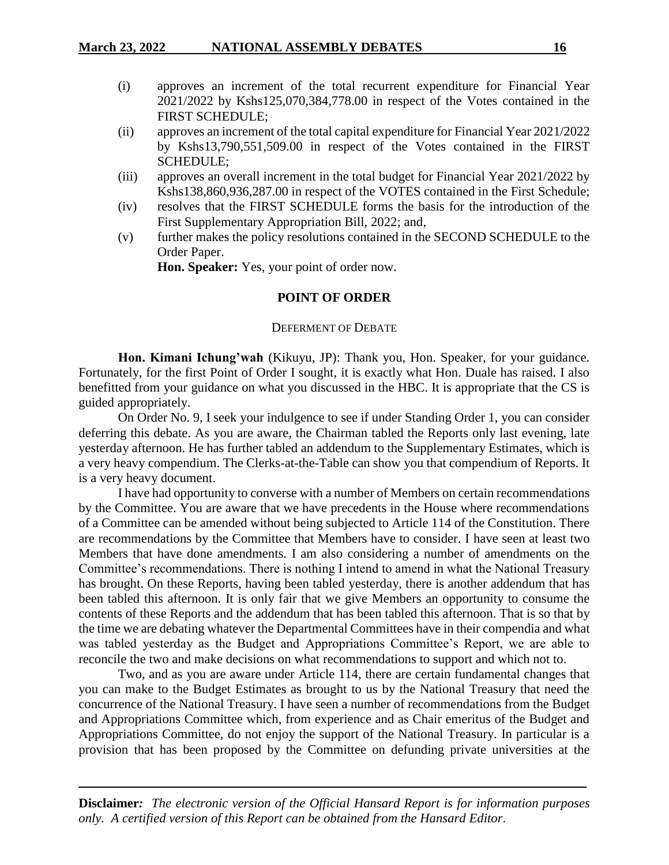- (i) approves an increment of the total recurrent expenditure for Financial Year 2021/2022 by Kshs125,070,384,778.00 in respect of the Votes contained in the FIRST SCHEDULE;
- (ii) approves an increment of the total capital expenditure for Financial Year 2021/2022 by Kshs13,790,551,509.00 in respect of the Votes contained in the FIRST SCHEDULE;
- (iii) approves an overall increment in the total budget for Financial Year 2021/2022 by Kshs138,860,936,287.00 in respect of the VOTES contained in the First Schedule;
- (iv) resolves that the FIRST SCHEDULE forms the basis for the introduction of the First Supplementary Appropriation Bill, 2022; and,
- (v) further makes the policy resolutions contained in the SECOND SCHEDULE to the Order Paper.

**Hon. Speaker:** Yes, your point of order now.

### **POINT OF ORDER**

#### DEFERMENT OF DEBATE

**Hon. Kimani Ichung'wah** (Kikuyu, JP): Thank you, Hon. Speaker, for your guidance. Fortunately, for the first Point of Order I sought, it is exactly what Hon. Duale has raised. I also benefitted from your guidance on what you discussed in the HBC. It is appropriate that the CS is guided appropriately.

On Order No. 9, I seek your indulgence to see if under Standing Order 1, you can consider deferring this debate. As you are aware, the Chairman tabled the Reports only last evening, late yesterday afternoon. He has further tabled an addendum to the Supplementary Estimates, which is a very heavy compendium. The Clerks-at-the-Table can show you that compendium of Reports. It is a very heavy document.

I have had opportunity to converse with a number of Members on certain recommendations by the Committee. You are aware that we have precedents in the House where recommendations of a Committee can be amended without being subjected to Article 114 of the Constitution. There are recommendations by the Committee that Members have to consider. I have seen at least two Members that have done amendments. I am also considering a number of amendments on the Committee's recommendations. There is nothing I intend to amend in what the National Treasury has brought. On these Reports, having been tabled yesterday, there is another addendum that has been tabled this afternoon. It is only fair that we give Members an opportunity to consume the contents of these Reports and the addendum that has been tabled this afternoon. That is so that by the time we are debating whatever the Departmental Committees have in their compendia and what was tabled yesterday as the Budget and Appropriations Committee's Report, we are able to reconcile the two and make decisions on what recommendations to support and which not to.

Two, and as you are aware under Article 114, there are certain fundamental changes that you can make to the Budget Estimates as brought to us by the National Treasury that need the concurrence of the National Treasury. I have seen a number of recommendations from the Budget and Appropriations Committee which, from experience and as Chair emeritus of the Budget and Appropriations Committee, do not enjoy the support of the National Treasury. In particular is a provision that has been proposed by the Committee on defunding private universities at the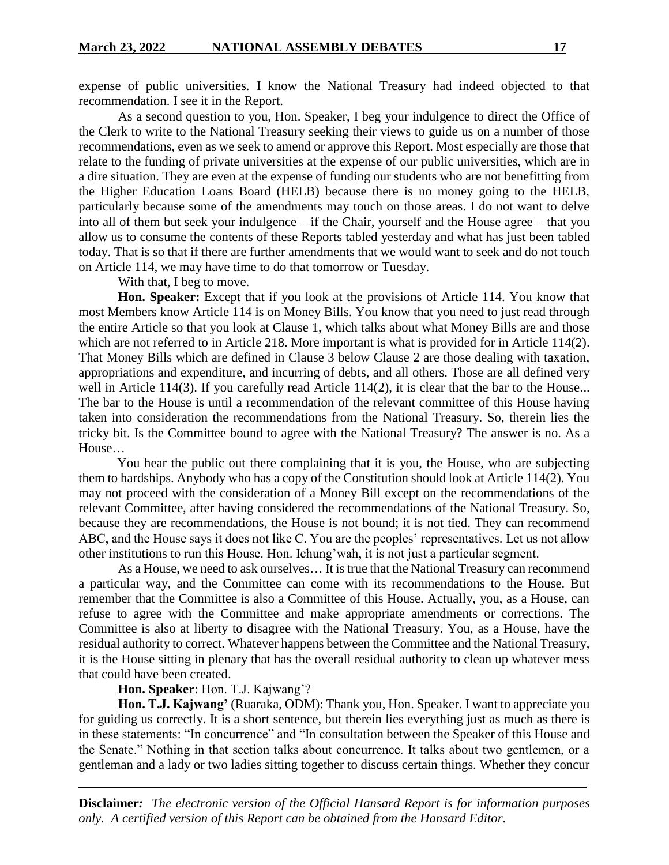expense of public universities. I know the National Treasury had indeed objected to that recommendation. I see it in the Report.

As a second question to you, Hon. Speaker, I beg your indulgence to direct the Office of the Clerk to write to the National Treasury seeking their views to guide us on a number of those recommendations, even as we seek to amend or approve this Report. Most especially are those that relate to the funding of private universities at the expense of our public universities, which are in a dire situation. They are even at the expense of funding our students who are not benefitting from the Higher Education Loans Board (HELB) because there is no money going to the HELB, particularly because some of the amendments may touch on those areas. I do not want to delve into all of them but seek your indulgence – if the Chair, yourself and the House agree – that you allow us to consume the contents of these Reports tabled yesterday and what has just been tabled today. That is so that if there are further amendments that we would want to seek and do not touch on Article 114, we may have time to do that tomorrow or Tuesday.

With that, I beg to move.

**Hon. Speaker:** Except that if you look at the provisions of Article 114. You know that most Members know Article 114 is on Money Bills. You know that you need to just read through the entire Article so that you look at Clause 1, which talks about what Money Bills are and those which are not referred to in Article 218. More important is what is provided for in Article 114(2). That Money Bills which are defined in Clause 3 below Clause 2 are those dealing with taxation, appropriations and expenditure, and incurring of debts, and all others. Those are all defined very well in Article 114(3). If you carefully read Article 114(2), it is clear that the bar to the House... The bar to the House is until a recommendation of the relevant committee of this House having taken into consideration the recommendations from the National Treasury. So, therein lies the tricky bit. Is the Committee bound to agree with the National Treasury? The answer is no. As a House…

You hear the public out there complaining that it is you, the House, who are subjecting them to hardships. Anybody who has a copy of the Constitution should look at Article 114(2). You may not proceed with the consideration of a Money Bill except on the recommendations of the relevant Committee, after having considered the recommendations of the National Treasury. So, because they are recommendations, the House is not bound; it is not tied. They can recommend ABC, and the House says it does not like C. You are the peoples' representatives. Let us not allow other institutions to run this House. Hon. Ichung'wah, it is not just a particular segment.

As a House, we need to ask ourselves… It is true that the National Treasury can recommend a particular way, and the Committee can come with its recommendations to the House. But remember that the Committee is also a Committee of this House. Actually, you, as a House, can refuse to agree with the Committee and make appropriate amendments or corrections. The Committee is also at liberty to disagree with the National Treasury. You, as a House, have the residual authority to correct. Whatever happens between the Committee and the National Treasury, it is the House sitting in plenary that has the overall residual authority to clean up whatever mess that could have been created.

#### **Hon. Speaker**: Hon. T.J. Kajwang'?

**Hon. T.J. Kajwang'** (Ruaraka, ODM): Thank you, Hon. Speaker. I want to appreciate you for guiding us correctly. It is a short sentence, but therein lies everything just as much as there is in these statements: "In concurrence" and "In consultation between the Speaker of this House and the Senate." Nothing in that section talks about concurrence. It talks about two gentlemen, or a gentleman and a lady or two ladies sitting together to discuss certain things. Whether they concur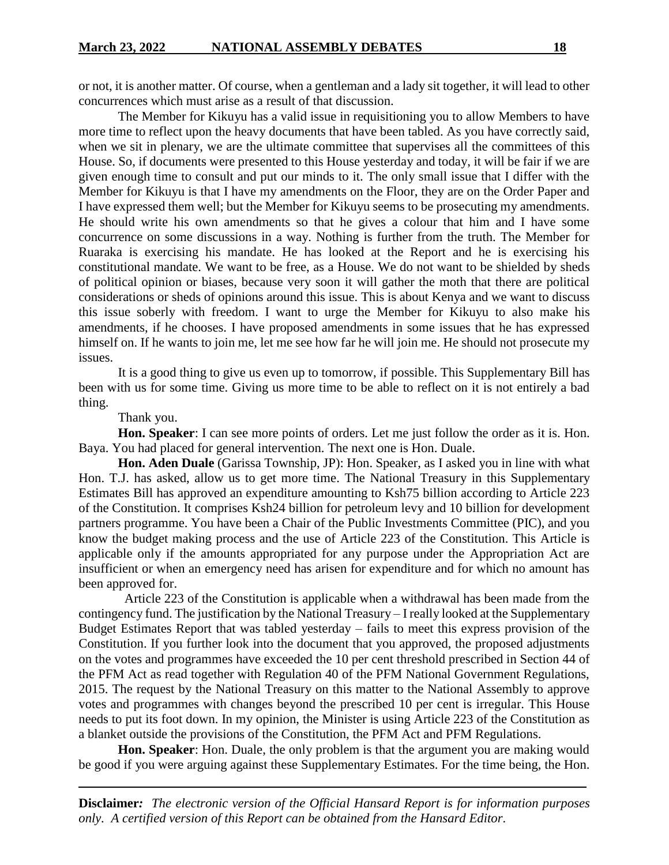or not, it is another matter. Of course, when a gentleman and a lady sit together, it will lead to other concurrences which must arise as a result of that discussion.

The Member for Kikuyu has a valid issue in requisitioning you to allow Members to have more time to reflect upon the heavy documents that have been tabled. As you have correctly said, when we sit in plenary, we are the ultimate committee that supervises all the committees of this House. So, if documents were presented to this House yesterday and today, it will be fair if we are given enough time to consult and put our minds to it. The only small issue that I differ with the Member for Kikuyu is that I have my amendments on the Floor, they are on the Order Paper and I have expressed them well; but the Member for Kikuyu seems to be prosecuting my amendments. He should write his own amendments so that he gives a colour that him and I have some concurrence on some discussions in a way. Nothing is further from the truth. The Member for Ruaraka is exercising his mandate. He has looked at the Report and he is exercising his constitutional mandate. We want to be free, as a House. We do not want to be shielded by sheds of political opinion or biases, because very soon it will gather the moth that there are political considerations or sheds of opinions around this issue. This is about Kenya and we want to discuss this issue soberly with freedom. I want to urge the Member for Kikuyu to also make his amendments, if he chooses. I have proposed amendments in some issues that he has expressed himself on. If he wants to join me, let me see how far he will join me. He should not prosecute my issues.

It is a good thing to give us even up to tomorrow, if possible. This Supplementary Bill has been with us for some time. Giving us more time to be able to reflect on it is not entirely a bad thing.

Thank you.

**Hon. Speaker**: I can see more points of orders. Let me just follow the order as it is. Hon. Baya. You had placed for general intervention. The next one is Hon. Duale.

**Hon. Aden Duale** (Garissa Township, JP): Hon. Speaker, as I asked you in line with what Hon. T.J. has asked, allow us to get more time. The National Treasury in this Supplementary Estimates Bill has approved an expenditure amounting to Ksh75 billion according to Article 223 of the Constitution. It comprises Ksh24 billion for petroleum levy and 10 billion for development partners programme. You have been a Chair of the Public Investments Committee (PIC), and you know the budget making process and the use of Article 223 of the Constitution. This Article is applicable only if the amounts appropriated for any purpose under the Appropriation Act are insufficient or when an emergency need has arisen for expenditure and for which no amount has been approved for.

 Article 223 of the Constitution is applicable when a withdrawal has been made from the contingency fund. The justification by the National Treasury – I really looked at the Supplementary Budget Estimates Report that was tabled yesterday – fails to meet this express provision of the Constitution. If you further look into the document that you approved, the proposed adjustments on the votes and programmes have exceeded the 10 per cent threshold prescribed in Section 44 of the PFM Act as read together with Regulation 40 of the PFM National Government Regulations, 2015. The request by the National Treasury on this matter to the National Assembly to approve votes and programmes with changes beyond the prescribed 10 per cent is irregular. This House needs to put its foot down. In my opinion, the Minister is using Article 223 of the Constitution as a blanket outside the provisions of the Constitution, the PFM Act and PFM Regulations.

**Hon. Speaker**: Hon. Duale, the only problem is that the argument you are making would be good if you were arguing against these Supplementary Estimates. For the time being, the Hon.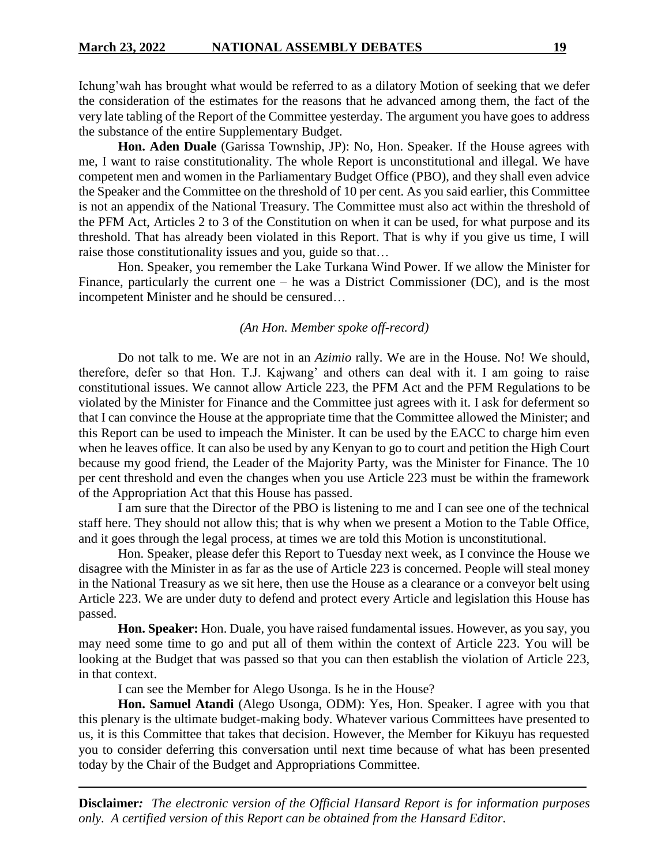Ichung'wah has brought what would be referred to as a dilatory Motion of seeking that we defer the consideration of the estimates for the reasons that he advanced among them, the fact of the very late tabling of the Report of the Committee yesterday. The argument you have goes to address the substance of the entire Supplementary Budget.

**Hon. Aden Duale** (Garissa Township, JP): No, Hon. Speaker. If the House agrees with me, I want to raise constitutionality. The whole Report is unconstitutional and illegal. We have competent men and women in the Parliamentary Budget Office (PBO), and they shall even advice the Speaker and the Committee on the threshold of 10 per cent. As you said earlier, this Committee is not an appendix of the National Treasury. The Committee must also act within the threshold of the PFM Act, Articles 2 to 3 of the Constitution on when it can be used, for what purpose and its threshold. That has already been violated in this Report. That is why if you give us time, I will raise those constitutionality issues and you, guide so that…

Hon. Speaker, you remember the Lake Turkana Wind Power. If we allow the Minister for Finance, particularly the current one – he was a District Commissioner (DC), and is the most incompetent Minister and he should be censured…

#### *(An Hon. Member spoke off-record)*

Do not talk to me. We are not in an *Azimio* rally. We are in the House. No! We should, therefore, defer so that Hon. T.J. Kajwang' and others can deal with it. I am going to raise constitutional issues. We cannot allow Article 223, the PFM Act and the PFM Regulations to be violated by the Minister for Finance and the Committee just agrees with it. I ask for deferment so that I can convince the House at the appropriate time that the Committee allowed the Minister; and this Report can be used to impeach the Minister. It can be used by the EACC to charge him even when he leaves office. It can also be used by any Kenyan to go to court and petition the High Court because my good friend, the Leader of the Majority Party, was the Minister for Finance. The 10 per cent threshold and even the changes when you use Article 223 must be within the framework of the Appropriation Act that this House has passed.

I am sure that the Director of the PBO is listening to me and I can see one of the technical staff here. They should not allow this; that is why when we present a Motion to the Table Office, and it goes through the legal process, at times we are told this Motion is unconstitutional.

Hon. Speaker, please defer this Report to Tuesday next week, as I convince the House we disagree with the Minister in as far as the use of Article 223 is concerned. People will steal money in the National Treasury as we sit here, then use the House as a clearance or a conveyor belt using Article 223. We are under duty to defend and protect every Article and legislation this House has passed.

**Hon. Speaker:** Hon. Duale, you have raised fundamental issues. However, as you say, you may need some time to go and put all of them within the context of Article 223. You will be looking at the Budget that was passed so that you can then establish the violation of Article 223, in that context.

I can see the Member for Alego Usonga. Is he in the House?

**Hon. Samuel Atandi** (Alego Usonga, ODM): Yes, Hon. Speaker. I agree with you that this plenary is the ultimate budget-making body. Whatever various Committees have presented to us, it is this Committee that takes that decision. However, the Member for Kikuyu has requested you to consider deferring this conversation until next time because of what has been presented today by the Chair of the Budget and Appropriations Committee.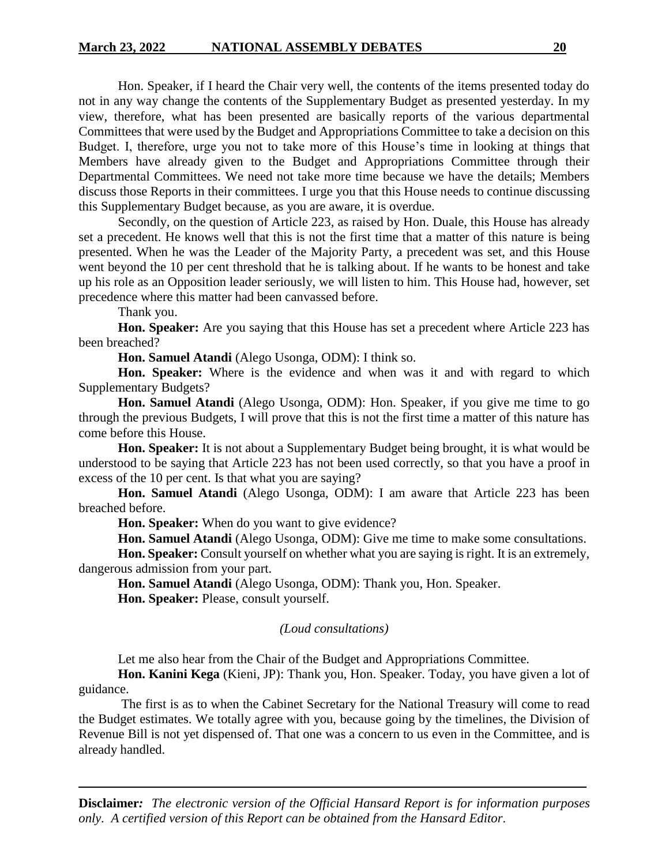Hon. Speaker, if I heard the Chair very well, the contents of the items presented today do not in any way change the contents of the Supplementary Budget as presented yesterday. In my view, therefore, what has been presented are basically reports of the various departmental Committees that were used by the Budget and Appropriations Committee to take a decision on this Budget. I, therefore, urge you not to take more of this House's time in looking at things that Members have already given to the Budget and Appropriations Committee through their Departmental Committees. We need not take more time because we have the details; Members discuss those Reports in their committees. I urge you that this House needs to continue discussing this Supplementary Budget because, as you are aware, it is overdue.

Secondly, on the question of Article 223, as raised by Hon. Duale, this House has already set a precedent. He knows well that this is not the first time that a matter of this nature is being presented. When he was the Leader of the Majority Party, a precedent was set, and this House went beyond the 10 per cent threshold that he is talking about. If he wants to be honest and take up his role as an Opposition leader seriously, we will listen to him. This House had, however, set precedence where this matter had been canvassed before.

Thank you.

**Hon. Speaker:** Are you saying that this House has set a precedent where Article 223 has been breached?

**Hon. Samuel Atandi** (Alego Usonga, ODM): I think so.

**Hon. Speaker:** Where is the evidence and when was it and with regard to which Supplementary Budgets?

**Hon. Samuel Atandi** (Alego Usonga, ODM): Hon. Speaker, if you give me time to go through the previous Budgets, I will prove that this is not the first time a matter of this nature has come before this House.

**Hon. Speaker:** It is not about a Supplementary Budget being brought, it is what would be understood to be saying that Article 223 has not been used correctly, so that you have a proof in excess of the 10 per cent. Is that what you are saying?

**Hon. Samuel Atandi** (Alego Usonga, ODM): I am aware that Article 223 has been breached before.

**Hon. Speaker:** When do you want to give evidence?

**Hon. Samuel Atandi** (Alego Usonga, ODM): Give me time to make some consultations.

**Hon. Speaker:** Consult yourself on whether what you are saying is right. It is an extremely, dangerous admission from your part.

**Hon. Samuel Atandi** (Alego Usonga, ODM): Thank you, Hon. Speaker. **Hon. Speaker:** Please, consult yourself.

#### *(Loud consultations)*

Let me also hear from the Chair of the Budget and Appropriations Committee.

**Hon. Kanini Kega** (Kieni, JP): Thank you, Hon. Speaker. Today, you have given a lot of guidance.

The first is as to when the Cabinet Secretary for the National Treasury will come to read the Budget estimates. We totally agree with you, because going by the timelines, the Division of Revenue Bill is not yet dispensed of. That one was a concern to us even in the Committee, and is already handled.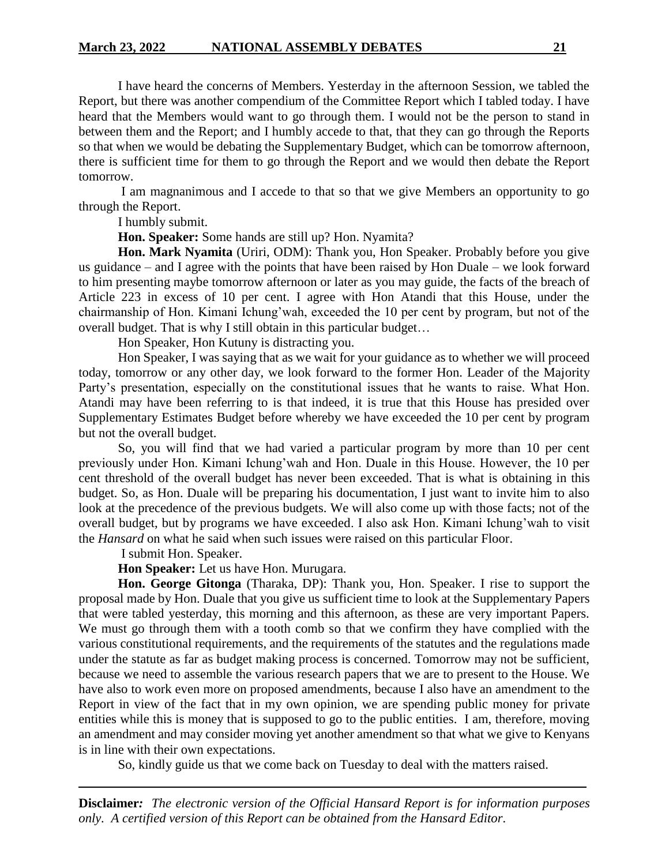I have heard the concerns of Members. Yesterday in the afternoon Session, we tabled the Report, but there was another compendium of the Committee Report which I tabled today. I have heard that the Members would want to go through them. I would not be the person to stand in between them and the Report; and I humbly accede to that, that they can go through the Reports so that when we would be debating the Supplementary Budget, which can be tomorrow afternoon, there is sufficient time for them to go through the Report and we would then debate the Report tomorrow.

I am magnanimous and I accede to that so that we give Members an opportunity to go through the Report.

I humbly submit.

**Hon. Speaker:** Some hands are still up? Hon. Nyamita?

**Hon. Mark Nyamita** (Uriri, ODM): Thank you, Hon Speaker. Probably before you give us guidance – and I agree with the points that have been raised by Hon Duale – we look forward to him presenting maybe tomorrow afternoon or later as you may guide, the facts of the breach of Article 223 in excess of 10 per cent. I agree with Hon Atandi that this House, under the chairmanship of Hon. Kimani Ichung'wah, exceeded the 10 per cent by program, but not of the overall budget. That is why I still obtain in this particular budget…

Hon Speaker, Hon Kutuny is distracting you.

Hon Speaker, I was saying that as we wait for your guidance as to whether we will proceed today, tomorrow or any other day, we look forward to the former Hon. Leader of the Majority Party's presentation, especially on the constitutional issues that he wants to raise. What Hon. Atandi may have been referring to is that indeed, it is true that this House has presided over Supplementary Estimates Budget before whereby we have exceeded the 10 per cent by program but not the overall budget.

So, you will find that we had varied a particular program by more than 10 per cent previously under Hon. Kimani Ichung'wah and Hon. Duale in this House. However, the 10 per cent threshold of the overall budget has never been exceeded. That is what is obtaining in this budget. So, as Hon. Duale will be preparing his documentation, I just want to invite him to also look at the precedence of the previous budgets. We will also come up with those facts; not of the overall budget, but by programs we have exceeded. I also ask Hon. Kimani Ichung'wah to visit the *Hansard* on what he said when such issues were raised on this particular Floor.

I submit Hon. Speaker.

**Hon Speaker:** Let us have Hon. Murugara.

**Hon. George Gitonga** (Tharaka, DP): Thank you, Hon. Speaker. I rise to support the proposal made by Hon. Duale that you give us sufficient time to look at the Supplementary Papers that were tabled yesterday, this morning and this afternoon, as these are very important Papers. We must go through them with a tooth comb so that we confirm they have complied with the various constitutional requirements, and the requirements of the statutes and the regulations made under the statute as far as budget making process is concerned. Tomorrow may not be sufficient, because we need to assemble the various research papers that we are to present to the House. We have also to work even more on proposed amendments, because I also have an amendment to the Report in view of the fact that in my own opinion, we are spending public money for private entities while this is money that is supposed to go to the public entities. I am, therefore, moving an amendment and may consider moving yet another amendment so that what we give to Kenyans is in line with their own expectations.

So, kindly guide us that we come back on Tuesday to deal with the matters raised.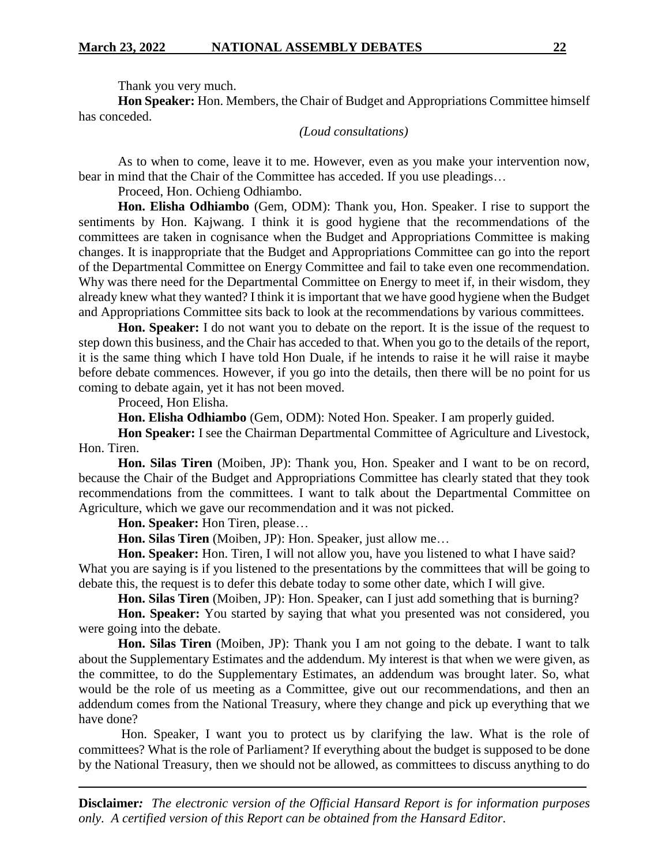Thank you very much.

**Hon Speaker:** Hon. Members, the Chair of Budget and Appropriations Committee himself has conceded.

### *(Loud consultations)*

As to when to come, leave it to me. However, even as you make your intervention now, bear in mind that the Chair of the Committee has acceded. If you use pleadings…

Proceed, Hon. Ochieng Odhiambo.

**Hon. Elisha Odhiambo** (Gem, ODM): Thank you, Hon. Speaker. I rise to support the sentiments by Hon. Kajwang. I think it is good hygiene that the recommendations of the committees are taken in cognisance when the Budget and Appropriations Committee is making changes. It is inappropriate that the Budget and Appropriations Committee can go into the report of the Departmental Committee on Energy Committee and fail to take even one recommendation. Why was there need for the Departmental Committee on Energy to meet if, in their wisdom, they already knew what they wanted? I think it is important that we have good hygiene when the Budget and Appropriations Committee sits back to look at the recommendations by various committees.

**Hon. Speaker:** I do not want you to debate on the report. It is the issue of the request to step down this business, and the Chair has acceded to that. When you go to the details of the report, it is the same thing which I have told Hon Duale, if he intends to raise it he will raise it maybe before debate commences. However, if you go into the details, then there will be no point for us coming to debate again, yet it has not been moved.

Proceed, Hon Elisha.

**Hon. Elisha Odhiambo** (Gem, ODM): Noted Hon. Speaker. I am properly guided.

**Hon Speaker:** I see the Chairman Departmental Committee of Agriculture and Livestock, Hon. Tiren.

**Hon. Silas Tiren** (Moiben, JP): Thank you, Hon. Speaker and I want to be on record, because the Chair of the Budget and Appropriations Committee has clearly stated that they took recommendations from the committees. I want to talk about the Departmental Committee on Agriculture, which we gave our recommendation and it was not picked.

**Hon. Speaker:** Hon Tiren, please…

**Hon. Silas Tiren** (Moiben, JP): Hon. Speaker, just allow me…

**Hon. Speaker:** Hon. Tiren, I will not allow you, have you listened to what I have said? What you are saying is if you listened to the presentations by the committees that will be going to debate this, the request is to defer this debate today to some other date, which I will give.

**Hon. Silas Tiren** (Moiben, JP): Hon. Speaker, can I just add something that is burning?

**Hon. Speaker:** You started by saying that what you presented was not considered, you were going into the debate.

**Hon. Silas Tiren** (Moiben, JP): Thank you I am not going to the debate. I want to talk about the Supplementary Estimates and the addendum. My interest is that when we were given, as the committee, to do the Supplementary Estimates, an addendum was brought later. So, what would be the role of us meeting as a Committee, give out our recommendations, and then an addendum comes from the National Treasury, where they change and pick up everything that we have done?

Hon. Speaker, I want you to protect us by clarifying the law. What is the role of committees? What is the role of Parliament? If everything about the budget is supposed to be done by the National Treasury, then we should not be allowed, as committees to discuss anything to do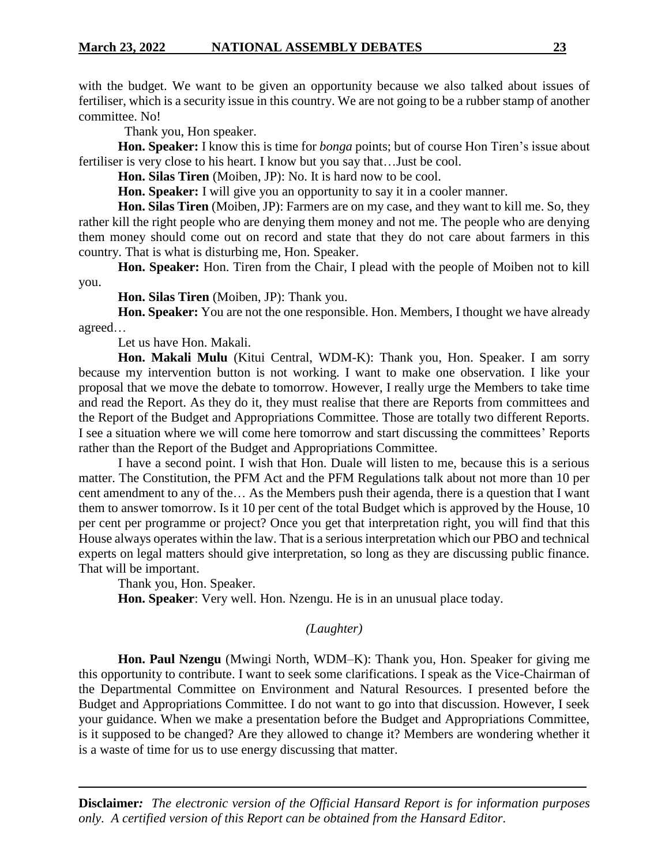with the budget. We want to be given an opportunity because we also talked about issues of fertiliser, which is a security issue in this country. We are not going to be a rubber stamp of another committee. No!

Thank you, Hon speaker.

**Hon. Speaker:** I know this is time for *bonga* points; but of course Hon Tiren's issue about fertiliser is very close to his heart. I know but you say that…Just be cool.

**Hon. Silas Tiren** (Moiben, JP): No. It is hard now to be cool.

**Hon. Speaker:** I will give you an opportunity to say it in a cooler manner.

**Hon. Silas Tiren** (Moiben, JP): Farmers are on my case, and they want to kill me. So, they rather kill the right people who are denying them money and not me. The people who are denying them money should come out on record and state that they do not care about farmers in this country. That is what is disturbing me, Hon. Speaker.

**Hon. Speaker:** Hon. Tiren from the Chair, I plead with the people of Moiben not to kill you.

**Hon. Silas Tiren** (Moiben, JP): Thank you.

**Hon. Speaker:** You are not the one responsible. Hon. Members, I thought we have already agreed…

Let us have Hon. Makali.

**Hon. Makali Mulu** (Kitui Central, WDM-K): Thank you, Hon. Speaker. I am sorry because my intervention button is not working. I want to make one observation. I like your proposal that we move the debate to tomorrow. However, I really urge the Members to take time and read the Report. As they do it, they must realise that there are Reports from committees and the Report of the Budget and Appropriations Committee. Those are totally two different Reports. I see a situation where we will come here tomorrow and start discussing the committees' Reports rather than the Report of the Budget and Appropriations Committee.

I have a second point. I wish that Hon. Duale will listen to me, because this is a serious matter. The Constitution, the PFM Act and the PFM Regulations talk about not more than 10 per cent amendment to any of the… As the Members push their agenda, there is a question that I want them to answer tomorrow. Is it 10 per cent of the total Budget which is approved by the House, 10 per cent per programme or project? Once you get that interpretation right, you will find that this House always operates within the law. That is a serious interpretation which our PBO and technical experts on legal matters should give interpretation, so long as they are discussing public finance. That will be important.

Thank you, Hon. Speaker.

**Hon. Speaker**: Very well. Hon. Nzengu. He is in an unusual place today.

#### *(Laughter)*

**Hon. Paul Nzengu** (Mwingi North, WDM–K): Thank you, Hon. Speaker for giving me this opportunity to contribute. I want to seek some clarifications. I speak as the Vice-Chairman of the Departmental Committee on Environment and Natural Resources. I presented before the Budget and Appropriations Committee. I do not want to go into that discussion. However, I seek your guidance. When we make a presentation before the Budget and Appropriations Committee, is it supposed to be changed? Are they allowed to change it? Members are wondering whether it is a waste of time for us to use energy discussing that matter.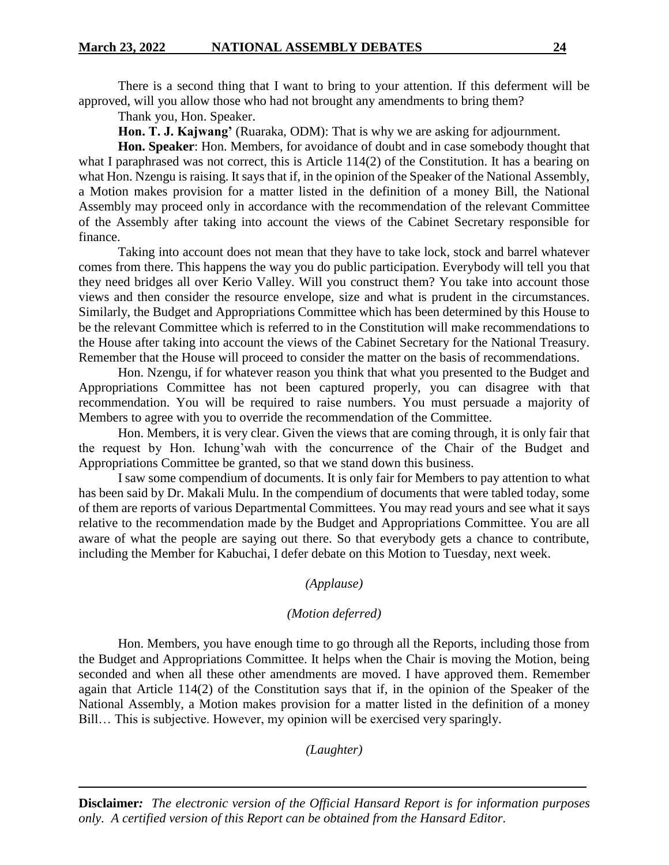There is a second thing that I want to bring to your attention. If this deferment will be approved, will you allow those who had not brought any amendments to bring them?

Thank you, Hon. Speaker.

**Hon. T. J. Kajwang'** (Ruaraka, ODM): That is why we are asking for adjournment.

**Hon. Speaker**: Hon. Members, for avoidance of doubt and in case somebody thought that what I paraphrased was not correct, this is Article 114(2) of the Constitution. It has a bearing on what Hon. Nzengu is raising. It says that if, in the opinion of the Speaker of the National Assembly, a Motion makes provision for a matter listed in the definition of a money Bill, the National Assembly may proceed only in accordance with the recommendation of the relevant Committee of the Assembly after taking into account the views of the Cabinet Secretary responsible for finance.

Taking into account does not mean that they have to take lock, stock and barrel whatever comes from there. This happens the way you do public participation. Everybody will tell you that they need bridges all over Kerio Valley. Will you construct them? You take into account those views and then consider the resource envelope, size and what is prudent in the circumstances. Similarly, the Budget and Appropriations Committee which has been determined by this House to be the relevant Committee which is referred to in the Constitution will make recommendations to the House after taking into account the views of the Cabinet Secretary for the National Treasury. Remember that the House will proceed to consider the matter on the basis of recommendations.

Hon. Nzengu, if for whatever reason you think that what you presented to the Budget and Appropriations Committee has not been captured properly, you can disagree with that recommendation. You will be required to raise numbers. You must persuade a majority of Members to agree with you to override the recommendation of the Committee.

Hon. Members, it is very clear. Given the views that are coming through, it is only fair that the request by Hon. Ichung'wah with the concurrence of the Chair of the Budget and Appropriations Committee be granted, so that we stand down this business.

I saw some compendium of documents. It is only fair for Members to pay attention to what has been said by Dr. Makali Mulu. In the compendium of documents that were tabled today, some of them are reports of various Departmental Committees. You may read yours and see what it says relative to the recommendation made by the Budget and Appropriations Committee. You are all aware of what the people are saying out there. So that everybody gets a chance to contribute, including the Member for Kabuchai, I defer debate on this Motion to Tuesday, next week.

### *(Applause)*

#### *(Motion deferred)*

Hon. Members, you have enough time to go through all the Reports, including those from the Budget and Appropriations Committee. It helps when the Chair is moving the Motion, being seconded and when all these other amendments are moved. I have approved them. Remember again that Article 114(2) of the Constitution says that if, in the opinion of the Speaker of the National Assembly, a Motion makes provision for a matter listed in the definition of a money Bill… This is subjective. However, my opinion will be exercised very sparingly.

*(Laughter)*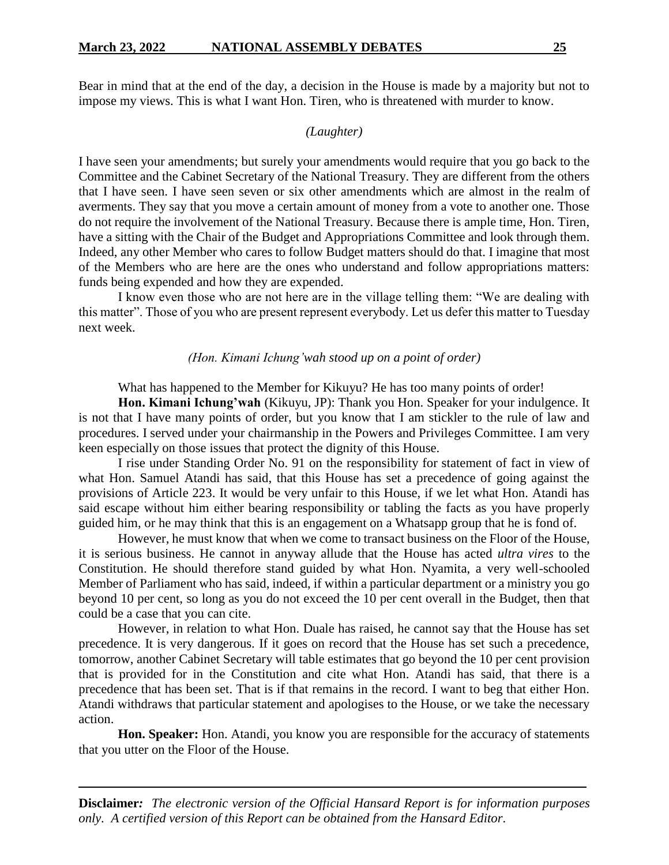Bear in mind that at the end of the day, a decision in the House is made by a majority but not to impose my views. This is what I want Hon. Tiren, who is threatened with murder to know.

### *(Laughter)*

I have seen your amendments; but surely your amendments would require that you go back to the Committee and the Cabinet Secretary of the National Treasury. They are different from the others that I have seen. I have seen seven or six other amendments which are almost in the realm of averments. They say that you move a certain amount of money from a vote to another one. Those do not require the involvement of the National Treasury. Because there is ample time, Hon. Tiren, have a sitting with the Chair of the Budget and Appropriations Committee and look through them. Indeed, any other Member who cares to follow Budget matters should do that. I imagine that most of the Members who are here are the ones who understand and follow appropriations matters: funds being expended and how they are expended.

I know even those who are not here are in the village telling them: "We are dealing with this matter". Those of you who are present represent everybody. Let us defer this matter to Tuesday next week.

#### *(Hon. Kimani Ichung'wah stood up on a point of order)*

What has happened to the Member for Kikuyu? He has too many points of order!

**Hon. Kimani Ichung'wah** (Kikuyu, JP): Thank you Hon. Speaker for your indulgence. It is not that I have many points of order, but you know that I am stickler to the rule of law and procedures. I served under your chairmanship in the Powers and Privileges Committee. I am very keen especially on those issues that protect the dignity of this House.

I rise under Standing Order No. 91 on the responsibility for statement of fact in view of what Hon. Samuel Atandi has said, that this House has set a precedence of going against the provisions of Article 223. It would be very unfair to this House, if we let what Hon. Atandi has said escape without him either bearing responsibility or tabling the facts as you have properly guided him, or he may think that this is an engagement on a Whatsapp group that he is fond of.

However, he must know that when we come to transact business on the Floor of the House, it is serious business. He cannot in anyway allude that the House has acted *ultra vires* to the Constitution. He should therefore stand guided by what Hon. Nyamita, a very well-schooled Member of Parliament who has said, indeed, if within a particular department or a ministry you go beyond 10 per cent, so long as you do not exceed the 10 per cent overall in the Budget, then that could be a case that you can cite.

However, in relation to what Hon. Duale has raised, he cannot say that the House has set precedence. It is very dangerous. If it goes on record that the House has set such a precedence, tomorrow, another Cabinet Secretary will table estimates that go beyond the 10 per cent provision that is provided for in the Constitution and cite what Hon. Atandi has said, that there is a precedence that has been set. That is if that remains in the record. I want to beg that either Hon. Atandi withdraws that particular statement and apologises to the House, or we take the necessary action.

**Hon. Speaker:** Hon. Atandi, you know you are responsible for the accuracy of statements that you utter on the Floor of the House.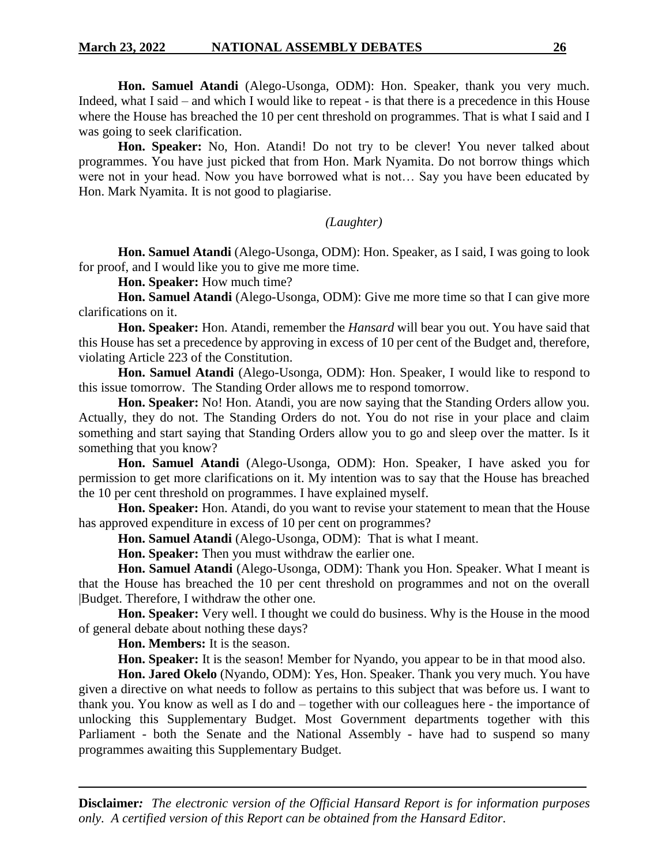**Hon. Samuel Atandi** (Alego-Usonga, ODM): Hon. Speaker, thank you very much. Indeed, what I said – and which I would like to repeat - is that there is a precedence in this House where the House has breached the 10 per cent threshold on programmes. That is what I said and I was going to seek clarification.

**Hon. Speaker:** No, Hon. Atandi! Do not try to be clever! You never talked about programmes. You have just picked that from Hon. Mark Nyamita. Do not borrow things which were not in your head. Now you have borrowed what is not… Say you have been educated by Hon. Mark Nyamita. It is not good to plagiarise.

*(Laughter)*

**Hon. Samuel Atandi** (Alego-Usonga, ODM): Hon. Speaker, as I said, I was going to look for proof, and I would like you to give me more time.

**Hon. Speaker:** How much time?

**Hon. Samuel Atandi** (Alego-Usonga, ODM): Give me more time so that I can give more clarifications on it.

**Hon. Speaker:** Hon. Atandi, remember the *Hansard* will bear you out. You have said that this House has set a precedence by approving in excess of 10 per cent of the Budget and, therefore, violating Article 223 of the Constitution.

**Hon. Samuel Atandi** (Alego-Usonga, ODM): Hon. Speaker, I would like to respond to this issue tomorrow. The Standing Order allows me to respond tomorrow.

**Hon. Speaker:** No! Hon. Atandi, you are now saying that the Standing Orders allow you. Actually, they do not. The Standing Orders do not. You do not rise in your place and claim something and start saying that Standing Orders allow you to go and sleep over the matter. Is it something that you know?

**Hon. Samuel Atandi** (Alego-Usonga, ODM): Hon. Speaker, I have asked you for permission to get more clarifications on it. My intention was to say that the House has breached the 10 per cent threshold on programmes. I have explained myself.

**Hon. Speaker:** Hon. Atandi, do you want to revise your statement to mean that the House has approved expenditure in excess of 10 per cent on programmes?

**Hon. Samuel Atandi** (Alego-Usonga, ODM): That is what I meant.

**Hon. Speaker:** Then you must withdraw the earlier one.

**Hon. Samuel Atandi** (Alego-Usonga, ODM): Thank you Hon. Speaker. What I meant is that the House has breached the 10 per cent threshold on programmes and not on the overall |Budget. Therefore, I withdraw the other one.

**Hon. Speaker:** Very well. I thought we could do business. Why is the House in the mood of general debate about nothing these days?

**Hon. Members:** It is the season.

**Hon. Speaker:** It is the season! Member for Nyando, you appear to be in that mood also.

**Hon. Jared Okelo** (Nyando, ODM): Yes, Hon. Speaker. Thank you very much. You have given a directive on what needs to follow as pertains to this subject that was before us. I want to thank you. You know as well as I do and – together with our colleagues here - the importance of unlocking this Supplementary Budget. Most Government departments together with this Parliament - both the Senate and the National Assembly - have had to suspend so many programmes awaiting this Supplementary Budget.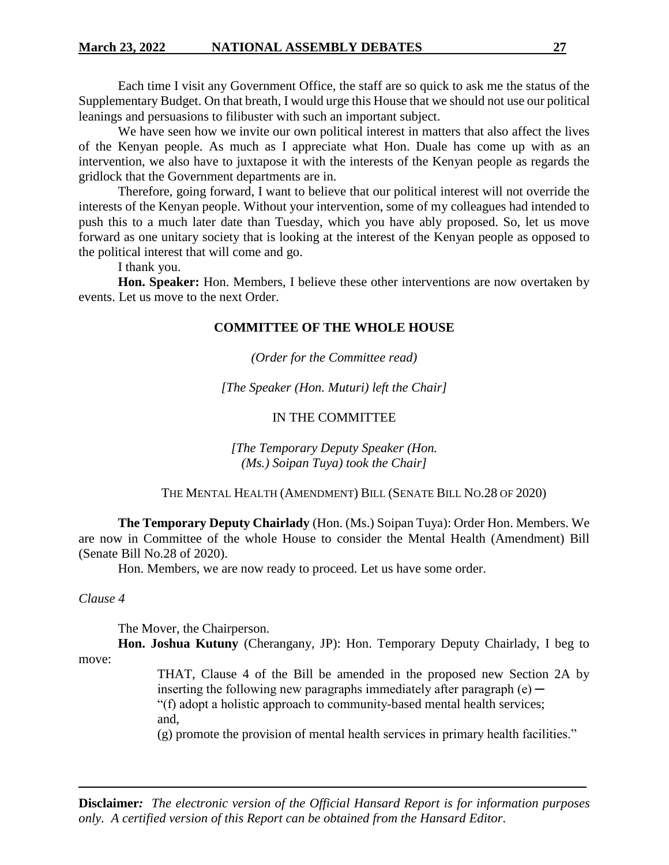Each time I visit any Government Office, the staff are so quick to ask me the status of the Supplementary Budget. On that breath, I would urge this House that we should not use our political leanings and persuasions to filibuster with such an important subject.

We have seen how we invite our own political interest in matters that also affect the lives of the Kenyan people. As much as I appreciate what Hon. Duale has come up with as an intervention, we also have to juxtapose it with the interests of the Kenyan people as regards the gridlock that the Government departments are in.

Therefore, going forward, I want to believe that our political interest will not override the interests of the Kenyan people. Without your intervention, some of my colleagues had intended to push this to a much later date than Tuesday, which you have ably proposed. So, let us move forward as one unitary society that is looking at the interest of the Kenyan people as opposed to the political interest that will come and go.

I thank you.

**Hon. Speaker:** Hon. Members, I believe these other interventions are now overtaken by events. Let us move to the next Order.

### **COMMITTEE OF THE WHOLE HOUSE**

*(Order for the Committee read)*

*[The Speaker (Hon. Muturi) left the Chair]*

# IN THE COMMITTEE

*[The Temporary Deputy Speaker (Hon. (Ms.) Soipan Tuya) took the Chair]*

#### THE MENTAL HEALTH (AMENDMENT) BILL (SENATE BILL NO.28 OF 2020)

**The Temporary Deputy Chairlady** (Hon. (Ms.) Soipan Tuya): Order Hon. Members. We are now in Committee of the whole House to consider the Mental Health (Amendment) Bill (Senate Bill No.28 of 2020).

Hon. Members, we are now ready to proceed. Let us have some order.

*Clause 4*

The Mover, the Chairperson.

**Hon. Joshua Kutuny** (Cherangany, JP): Hon. Temporary Deputy Chairlady, I beg to move:

THAT, Clause 4 of the Bill be amended in the proposed new Section 2A by inserting the following new paragraphs immediately after paragraph  $(e)$  — "(f) adopt a holistic approach to community-based mental health services; and, (g) promote the provision of mental health services in primary health facilities."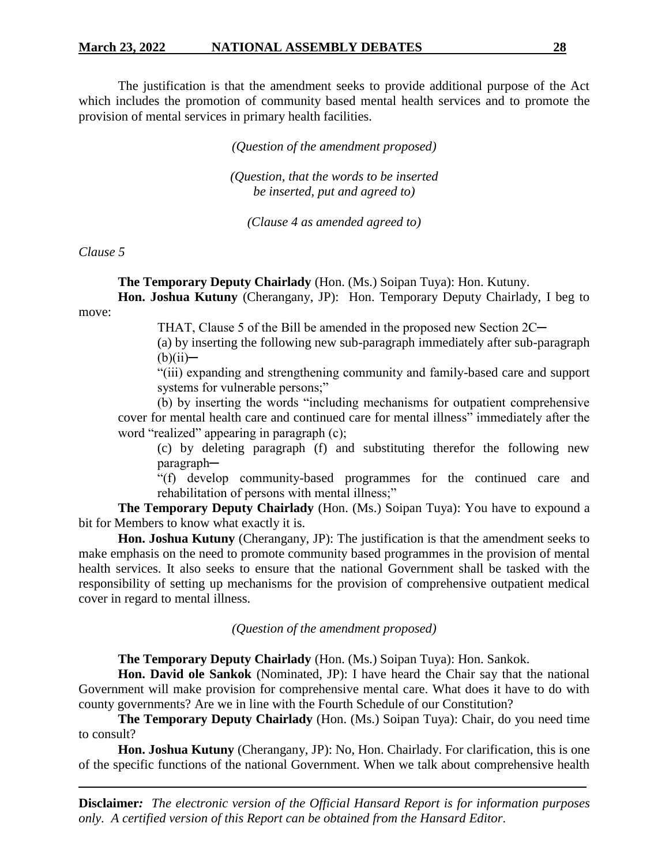The justification is that the amendment seeks to provide additional purpose of the Act which includes the promotion of community based mental health services and to promote the provision of mental services in primary health facilities.

*(Question of the amendment proposed)*

*(Question, that the words to be inserted be inserted, put and agreed to)*

*(Clause 4 as amended agreed to)*

#### *Clause 5*

**The Temporary Deputy Chairlady** (Hon. (Ms.) Soipan Tuya): Hon. Kutuny.

**Hon. Joshua Kutuny** (Cherangany, JP): Hon. Temporary Deputy Chairlady, I beg to move:

THAT, Clause 5 of the Bill be amended in the proposed new Section 2C—

(a) by inserting the following new sub-paragraph immediately after sub-paragraph  $(b)(ii)$ —

"(iii) expanding and strengthening community and family-based care and support systems for vulnerable persons;"

(b) by inserting the words "including mechanisms for outpatient comprehensive cover for mental health care and continued care for mental illness" immediately after the word "realized" appearing in paragraph (c);

(c) by deleting paragraph (f) and substituting therefor the following new paragraph─

"(f) develop community-based programmes for the continued care and rehabilitation of persons with mental illness;"

**The Temporary Deputy Chairlady** (Hon. (Ms.) Soipan Tuya): You have to expound a bit for Members to know what exactly it is.

**Hon. Joshua Kutuny** (Cherangany, JP): The justification is that the amendment seeks to make emphasis on the need to promote community based programmes in the provision of mental health services. It also seeks to ensure that the national Government shall be tasked with the responsibility of setting up mechanisms for the provision of comprehensive outpatient medical cover in regard to mental illness.

*(Question of the amendment proposed)*

**The Temporary Deputy Chairlady** (Hon. (Ms.) Soipan Tuya): Hon. Sankok.

**Hon. David ole Sankok** (Nominated, JP): I have heard the Chair say that the national Government will make provision for comprehensive mental care. What does it have to do with county governments? Are we in line with the Fourth Schedule of our Constitution?

**The Temporary Deputy Chairlady** (Hon. (Ms.) Soipan Tuya): Chair, do you need time to consult?

**Hon. Joshua Kutuny** (Cherangany, JP): No, Hon. Chairlady. For clarification, this is one of the specific functions of the national Government. When we talk about comprehensive health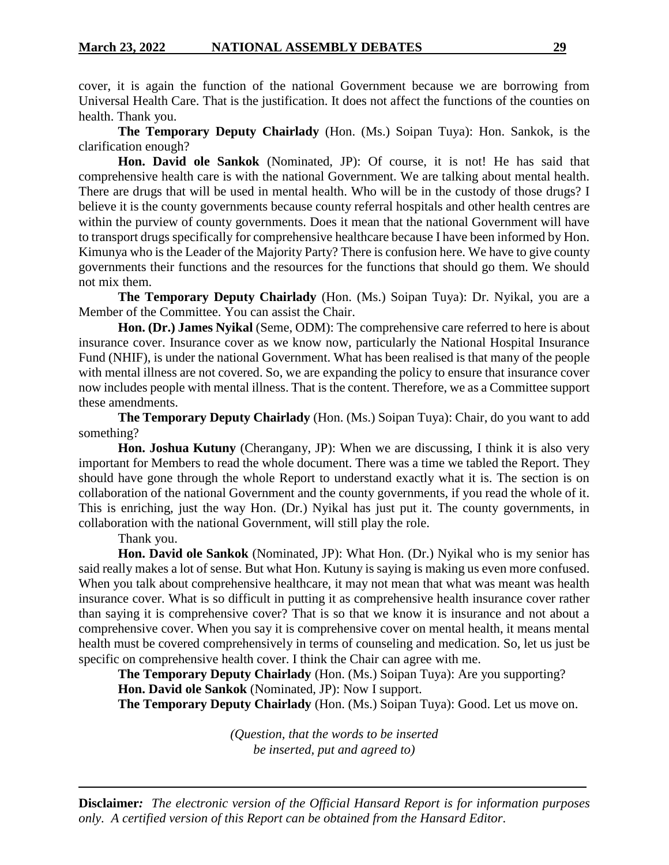cover, it is again the function of the national Government because we are borrowing from Universal Health Care. That is the justification. It does not affect the functions of the counties on health. Thank you.

**The Temporary Deputy Chairlady** (Hon. (Ms.) Soipan Tuya): Hon. Sankok, is the clarification enough?

**Hon. David ole Sankok** (Nominated, JP): Of course, it is not! He has said that comprehensive health care is with the national Government. We are talking about mental health. There are drugs that will be used in mental health. Who will be in the custody of those drugs? I believe it is the county governments because county referral hospitals and other health centres are within the purview of county governments. Does it mean that the national Government will have to transport drugs specifically for comprehensive healthcare because I have been informed by Hon. Kimunya who is the Leader of the Majority Party? There is confusion here. We have to give county governments their functions and the resources for the functions that should go them. We should not mix them.

**The Temporary Deputy Chairlady** (Hon. (Ms.) Soipan Tuya): Dr. Nyikal, you are a Member of the Committee. You can assist the Chair.

**Hon. (Dr.) James Nyikal** (Seme, ODM): The comprehensive care referred to here is about insurance cover. Insurance cover as we know now, particularly the National Hospital Insurance Fund (NHIF), is under the national Government. What has been realised is that many of the people with mental illness are not covered. So, we are expanding the policy to ensure that insurance cover now includes people with mental illness. That is the content. Therefore, we as a Committee support these amendments.

**The Temporary Deputy Chairlady** (Hon. (Ms.) Soipan Tuya): Chair, do you want to add something?

**Hon. Joshua Kutuny** (Cherangany, JP): When we are discussing, I think it is also very important for Members to read the whole document. There was a time we tabled the Report. They should have gone through the whole Report to understand exactly what it is. The section is on collaboration of the national Government and the county governments, if you read the whole of it. This is enriching, just the way Hon. (Dr.) Nyikal has just put it. The county governments, in collaboration with the national Government, will still play the role.

Thank you.

**Hon. David ole Sankok** (Nominated, JP): What Hon. (Dr.) Nyikal who is my senior has said really makes a lot of sense. But what Hon. Kutuny is saying is making us even more confused. When you talk about comprehensive healthcare, it may not mean that what was meant was health insurance cover. What is so difficult in putting it as comprehensive health insurance cover rather than saying it is comprehensive cover? That is so that we know it is insurance and not about a comprehensive cover. When you say it is comprehensive cover on mental health, it means mental health must be covered comprehensively in terms of counseling and medication. So, let us just be specific on comprehensive health cover. I think the Chair can agree with me.

**The Temporary Deputy Chairlady** (Hon. (Ms.) Soipan Tuya): Are you supporting? **Hon. David ole Sankok** (Nominated, JP): Now I support.

**The Temporary Deputy Chairlady** (Hon. (Ms.) Soipan Tuya): Good. Let us move on.

*(Question, that the words to be inserted be inserted, put and agreed to)*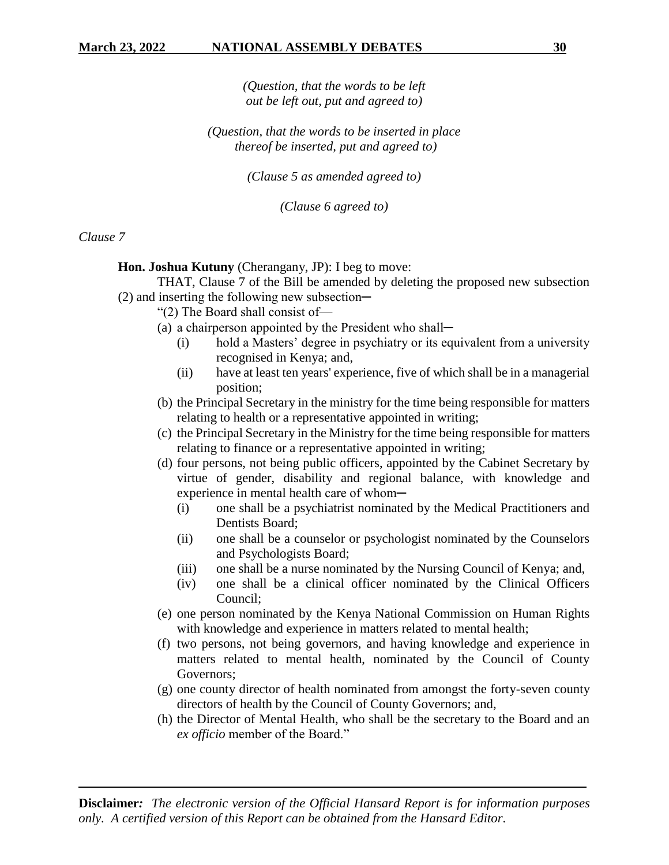*(Question, that the words to be left out be left out, put and agreed to)*

*(Question, that the words to be inserted in place thereof be inserted, put and agreed to)*

*(Clause 5 as amended agreed to)*

*(Clause 6 agreed to)*

# *Clause 7*

**Hon. Joshua Kutuny** (Cherangany, JP): I beg to move:

THAT, Clause 7 of the Bill be amended by deleting the proposed new subsection  $(2)$  and inserting the following new subsection—

"(2) The Board shall consist of—

- (a) a chairperson appointed by the President who shall—
	- (i) hold a Masters' degree in psychiatry or its equivalent from a university recognised in Kenya; and,
	- (ii) have at least ten years' experience, five of which shall be in a managerial position;
- (b) the Principal Secretary in the ministry for the time being responsible for matters relating to health or a representative appointed in writing;
- (c) the Principal Secretary in the Ministry for the time being responsible for matters relating to finance or a representative appointed in writing;
- (d) four persons, not being public officers, appointed by the Cabinet Secretary by virtue of gender, disability and regional balance, with knowledge and experience in mental health care of whom-
	- (i) one shall be a psychiatrist nominated by the Medical Practitioners and Dentists Board;
	- (ii) one shall be a counselor or psychologist nominated by the Counselors and Psychologists Board;
	- (iii) one shall be a nurse nominated by the Nursing Council of Kenya; and,
	- (iv) one shall be a clinical officer nominated by the Clinical Officers Council;
- (e) one person nominated by the Kenya National Commission on Human Rights with knowledge and experience in matters related to mental health;
- (f) two persons, not being governors, and having knowledge and experience in matters related to mental health, nominated by the Council of County Governors;
- (g) one county director of health nominated from amongst the forty-seven county directors of health by the Council of County Governors; and,
- (h) the Director of Mental Health, who shall be the secretary to the Board and an *ex officio* member of the Board."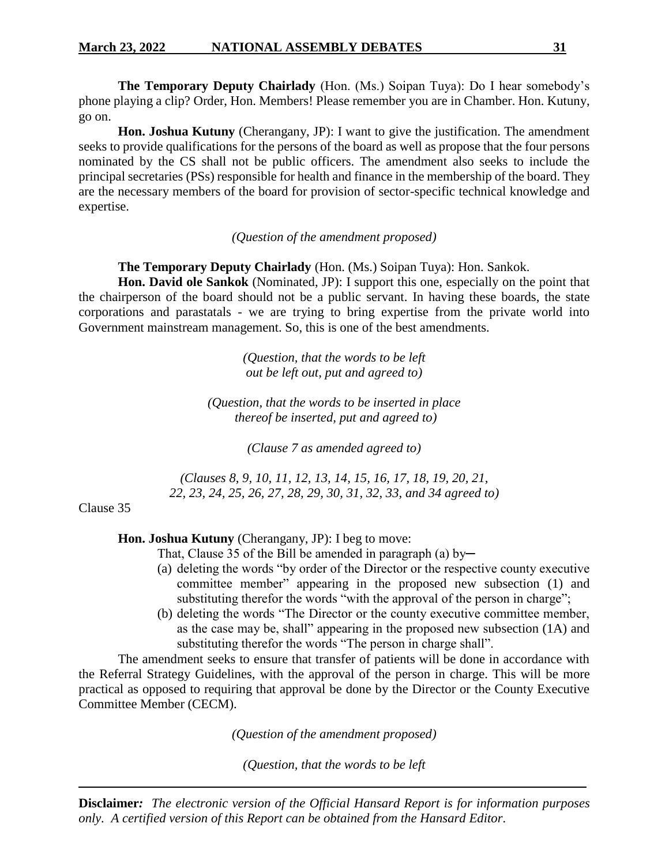**The Temporary Deputy Chairlady** (Hon. (Ms.) Soipan Tuya): Do I hear somebody's phone playing a clip? Order, Hon. Members! Please remember you are in Chamber. Hon. Kutuny, go on.

**Hon. Joshua Kutuny** (Cherangany, JP): I want to give the justification. The amendment seeks to provide qualifications for the persons of the board as well as propose that the four persons nominated by the CS shall not be public officers. The amendment also seeks to include the principal secretaries (PSs) responsible for health and finance in the membership of the board. They are the necessary members of the board for provision of sector-specific technical knowledge and expertise.

*(Question of the amendment proposed)*

# **The Temporary Deputy Chairlady** (Hon. (Ms.) Soipan Tuya): Hon. Sankok.

**Hon. David ole Sankok** (Nominated, JP): I support this one, especially on the point that the chairperson of the board should not be a public servant. In having these boards, the state corporations and parastatals - we are trying to bring expertise from the private world into Government mainstream management. So, this is one of the best amendments.

> *(Question, that the words to be left out be left out, put and agreed to)*

*(Question, that the words to be inserted in place thereof be inserted, put and agreed to)*

*(Clause 7 as amended agreed to)*

*(Clauses 8, 9, 10, 11, 12, 13, 14, 15, 16, 17, 18, 19, 20, 21, 22, 23, 24, 25, 26, 27, 28, 29, 30, 31, 32, 33, and 34 agreed to)*

Clause 35

**Hon. Joshua Kutuny** (Cherangany, JP): I beg to move:

- That, Clause 35 of the Bill be amended in paragraph (a) by-
- (a) deleting the words "by order of the Director or the respective county executive committee member" appearing in the proposed new subsection (1) and substituting therefor the words "with the approval of the person in charge";
- (b) deleting the words "The Director or the county executive committee member, as the case may be, shall" appearing in the proposed new subsection (1A) and substituting therefor the words "The person in charge shall".

The amendment seeks to ensure that transfer of patients will be done in accordance with the Referral Strategy Guidelines, with the approval of the person in charge. This will be more practical as opposed to requiring that approval be done by the Director or the County Executive Committee Member (CECM).

*(Question of the amendment proposed)*

*(Question, that the words to be left*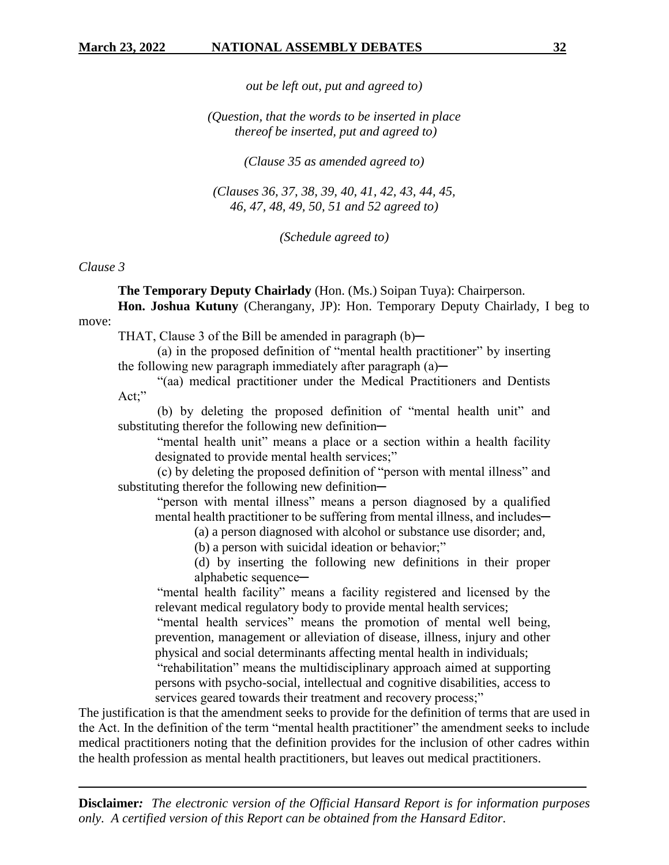*out be left out, put and agreed to)*

*(Question, that the words to be inserted in place thereof be inserted, put and agreed to)*

*(Clause 35 as amended agreed to)*

*(Clauses 36, 37, 38, 39, 40, 41, 42, 43, 44, 45, 46, 47, 48, 49, 50, 51 and 52 agreed to)*

*(Schedule agreed to)*

#### *Clause 3*

**The Temporary Deputy Chairlady** (Hon. (Ms.) Soipan Tuya): Chairperson.

**Hon. Joshua Kutuny** (Cherangany, JP): Hon. Temporary Deputy Chairlady, I beg to move:

THAT, Clause 3 of the Bill be amended in paragraph  $(b)$ —

(a) in the proposed definition of "mental health practitioner" by inserting the following new paragraph immediately after paragraph  $(a)$ —

"(aa) medical practitioner under the Medical Practitioners and Dentists Act;"

(b) by deleting the proposed definition of "mental health unit" and substituting therefor the following new definition-

"mental health unit" means a place or a section within a health facility designated to provide mental health services;"

(c) by deleting the proposed definition of "person with mental illness" and substituting therefor the following new definition-

"person with mental illness" means a person diagnosed by a qualified mental health practitioner to be suffering from mental illness, and includes—

(a) a person diagnosed with alcohol or substance use disorder; and,

(b) a person with suicidal ideation or behavior;"

(d) by inserting the following new definitions in their proper alphabetic sequence-

"mental health facility" means a facility registered and licensed by the relevant medical regulatory body to provide mental health services;

"mental health services" means the promotion of mental well being, prevention, management or alleviation of disease, illness, injury and other physical and social determinants affecting mental health in individuals;

"rehabilitation" means the multidisciplinary approach aimed at supporting persons with psycho-social, intellectual and cognitive disabilities, access to services geared towards their treatment and recovery process;"

The justification is that the amendment seeks to provide for the definition of terms that are used in the Act. In the definition of the term "mental health practitioner" the amendment seeks to include medical practitioners noting that the definition provides for the inclusion of other cadres within the health profession as mental health practitioners, but leaves out medical practitioners.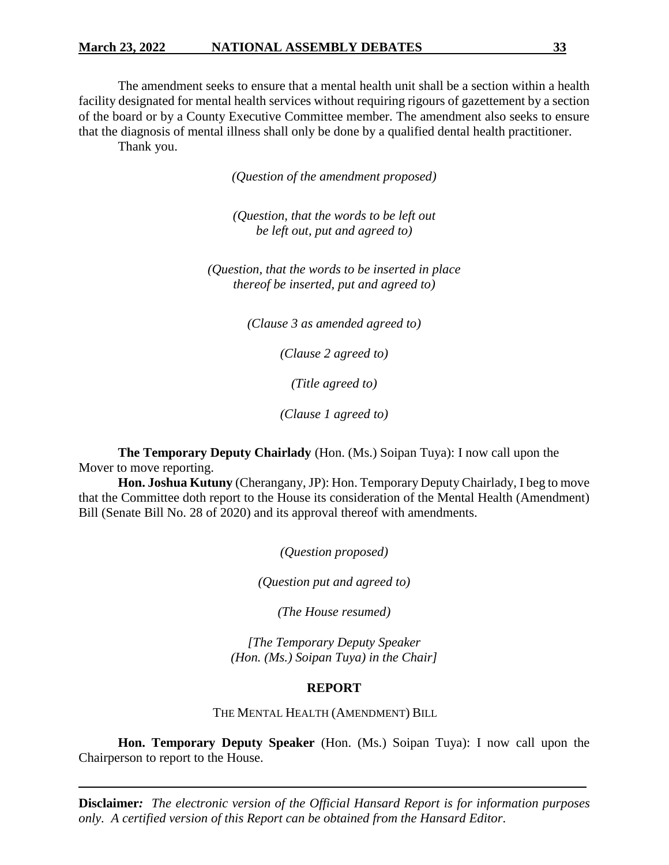### **March 23, 2022 NATIONAL ASSEMBLY DEBATES 33**

The amendment seeks to ensure that a mental health unit shall be a section within a health facility designated for mental health services without requiring rigours of gazettement by a section of the board or by a County Executive Committee member. The amendment also seeks to ensure that the diagnosis of mental illness shall only be done by a qualified dental health practitioner. Thank you.

*(Question of the amendment proposed)*

*(Question, that the words to be left out be left out, put and agreed to)*

*(Question, that the words to be inserted in place thereof be inserted, put and agreed to)*

*(Clause 3 as amended agreed to)*

*(Clause 2 agreed to)*

*(Title agreed to)*

*(Clause 1 agreed to)*

**The Temporary Deputy Chairlady** (Hon. (Ms.) Soipan Tuya): I now call upon the Mover to move reporting.

**Hon. Joshua Kutuny** (Cherangany, JP): Hon. Temporary Deputy Chairlady, I beg to move that the Committee doth report to the House its consideration of the Mental Health (Amendment) Bill (Senate Bill No. 28 of 2020) and its approval thereof with amendments.

*(Question proposed)*

*(Question put and agreed to)*

*(The House resumed)*

*[The Temporary Deputy Speaker (Hon. (Ms.) Soipan Tuya) in the Chair]*

#### **REPORT**

THE MENTAL HEALTH (AMENDMENT) BILL

**Hon. Temporary Deputy Speaker** (Hon. (Ms.) Soipan Tuya): I now call upon the Chairperson to report to the House.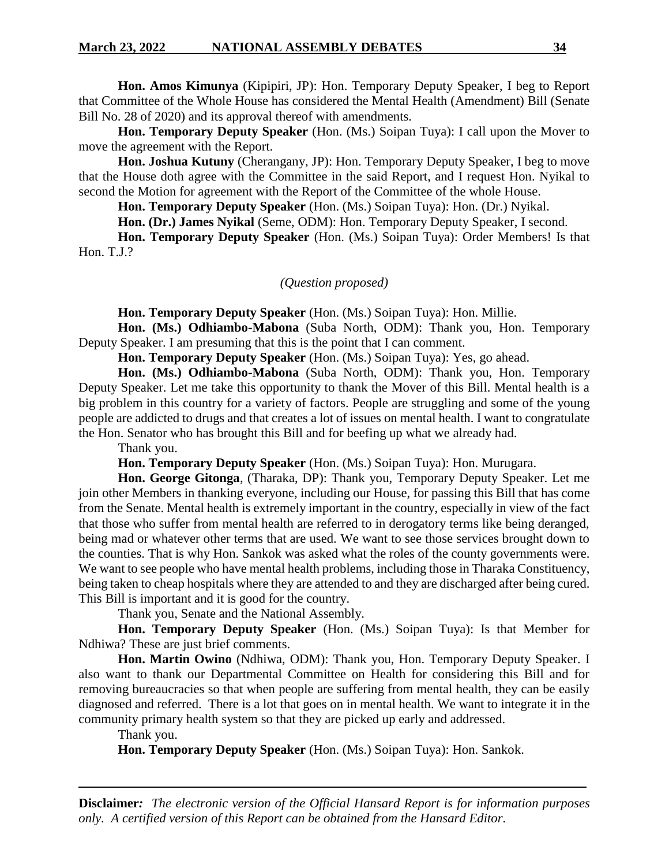**Hon. Amos Kimunya** (Kipipiri, JP): Hon. Temporary Deputy Speaker, I beg to Report that Committee of the Whole House has considered the Mental Health (Amendment) Bill (Senate Bill No. 28 of 2020) and its approval thereof with amendments.

**Hon. Temporary Deputy Speaker** (Hon. (Ms.) Soipan Tuya): I call upon the Mover to move the agreement with the Report.

**Hon. Joshua Kutuny** (Cherangany, JP): Hon. Temporary Deputy Speaker, I beg to move that the House doth agree with the Committee in the said Report, and I request Hon. Nyikal to second the Motion for agreement with the Report of the Committee of the whole House.

**Hon. Temporary Deputy Speaker** (Hon. (Ms.) Soipan Tuya): Hon. (Dr.) Nyikal.

**Hon. (Dr.) James Nyikal** (Seme, ODM): Hon. Temporary Deputy Speaker, I second.

**Hon. Temporary Deputy Speaker** (Hon. (Ms.) Soipan Tuya): Order Members! Is that Hon. T.J.?

#### *(Question proposed)*

**Hon. Temporary Deputy Speaker** (Hon. (Ms.) Soipan Tuya): Hon. Millie.

**Hon. (Ms.) Odhiambo-Mabona** (Suba North, ODM): Thank you, Hon. Temporary Deputy Speaker. I am presuming that this is the point that I can comment.

**Hon. Temporary Deputy Speaker** (Hon. (Ms.) Soipan Tuya): Yes, go ahead.

**Hon. (Ms.) Odhiambo-Mabona** (Suba North, ODM): Thank you, Hon. Temporary Deputy Speaker. Let me take this opportunity to thank the Mover of this Bill. Mental health is a big problem in this country for a variety of factors. People are struggling and some of the young people are addicted to drugs and that creates a lot of issues on mental health. I want to congratulate the Hon. Senator who has brought this Bill and for beefing up what we already had.

Thank you.

**Hon. Temporary Deputy Speaker** (Hon. (Ms.) Soipan Tuya): Hon. Murugara.

**Hon. George Gitonga**, (Tharaka, DP): Thank you, Temporary Deputy Speaker. Let me join other Members in thanking everyone, including our House, for passing this Bill that has come from the Senate. Mental health is extremely important in the country, especially in view of the fact that those who suffer from mental health are referred to in derogatory terms like being deranged, being mad or whatever other terms that are used. We want to see those services brought down to the counties. That is why Hon. Sankok was asked what the roles of the county governments were. We want to see people who have mental health problems, including those in Tharaka Constituency, being taken to cheap hospitals where they are attended to and they are discharged after being cured. This Bill is important and it is good for the country.

Thank you, Senate and the National Assembly.

**Hon. Temporary Deputy Speaker** (Hon. (Ms.) Soipan Tuya): Is that Member for Ndhiwa? These are just brief comments.

**Hon. Martin Owino** (Ndhiwa, ODM): Thank you, Hon. Temporary Deputy Speaker. I also want to thank our Departmental Committee on Health for considering this Bill and for removing bureaucracies so that when people are suffering from mental health, they can be easily diagnosed and referred. There is a lot that goes on in mental health. We want to integrate it in the community primary health system so that they are picked up early and addressed.

Thank you.

**Hon. Temporary Deputy Speaker** (Hon. (Ms.) Soipan Tuya): Hon. Sankok.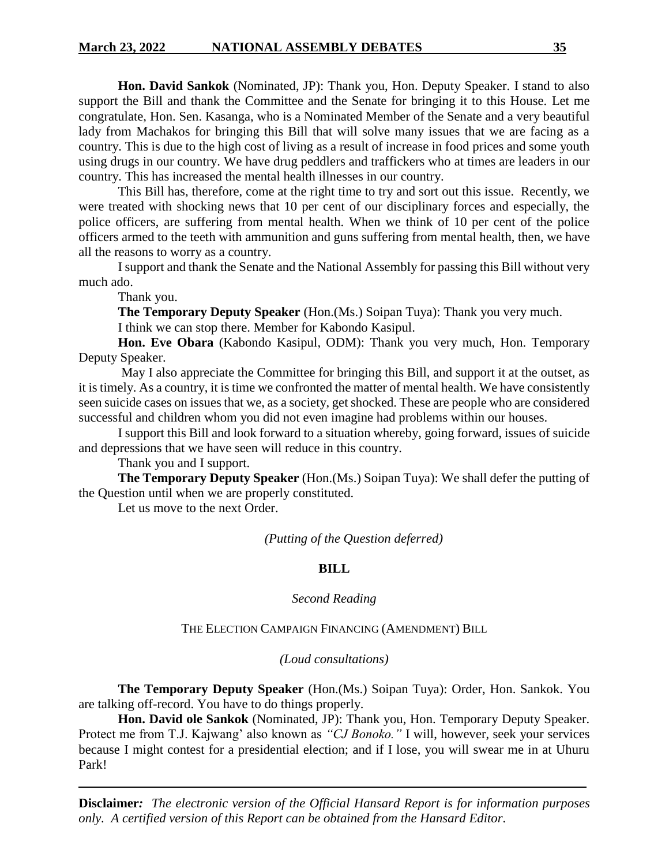**Hon. David Sankok** (Nominated, JP): Thank you, Hon. Deputy Speaker. I stand to also support the Bill and thank the Committee and the Senate for bringing it to this House. Let me congratulate, Hon. Sen. Kasanga, who is a Nominated Member of the Senate and a very beautiful lady from Machakos for bringing this Bill that will solve many issues that we are facing as a country. This is due to the high cost of living as a result of increase in food prices and some youth using drugs in our country. We have drug peddlers and traffickers who at times are leaders in our country. This has increased the mental health illnesses in our country.

This Bill has, therefore, come at the right time to try and sort out this issue. Recently, we were treated with shocking news that 10 per cent of our disciplinary forces and especially, the police officers, are suffering from mental health. When we think of 10 per cent of the police officers armed to the teeth with ammunition and guns suffering from mental health, then, we have all the reasons to worry as a country.

I support and thank the Senate and the National Assembly for passing this Bill without very much ado.

Thank you.

**The Temporary Deputy Speaker** (Hon.(Ms.) Soipan Tuya): Thank you very much.

I think we can stop there. Member for Kabondo Kasipul.

**Hon. Eve Obara** (Kabondo Kasipul, ODM): Thank you very much, Hon. Temporary Deputy Speaker.

May I also appreciate the Committee for bringing this Bill, and support it at the outset, as it is timely. As a country, it is time we confronted the matter of mental health. We have consistently seen suicide cases on issues that we, as a society, get shocked. These are people who are considered successful and children whom you did not even imagine had problems within our houses.

I support this Bill and look forward to a situation whereby, going forward, issues of suicide and depressions that we have seen will reduce in this country.

Thank you and I support.

**The Temporary Deputy Speaker** (Hon.(Ms.) Soipan Tuya): We shall defer the putting of the Question until when we are properly constituted.

Let us move to the next Order.

*(Putting of the Question deferred)*

# **BILL**

# *Second Reading*

# THE ELECTION CAMPAIGN FINANCING (AMENDMENT) BILL

*(Loud consultations)*

**The Temporary Deputy Speaker** (Hon.(Ms.) Soipan Tuya): Order, Hon. Sankok. You are talking off-record. You have to do things properly.

**Hon. David ole Sankok** (Nominated, JP): Thank you, Hon. Temporary Deputy Speaker. Protect me from T.J. Kajwang' also known as *"CJ Bonoko."* I will, however, seek your services because I might contest for a presidential election; and if I lose, you will swear me in at Uhuru Park!